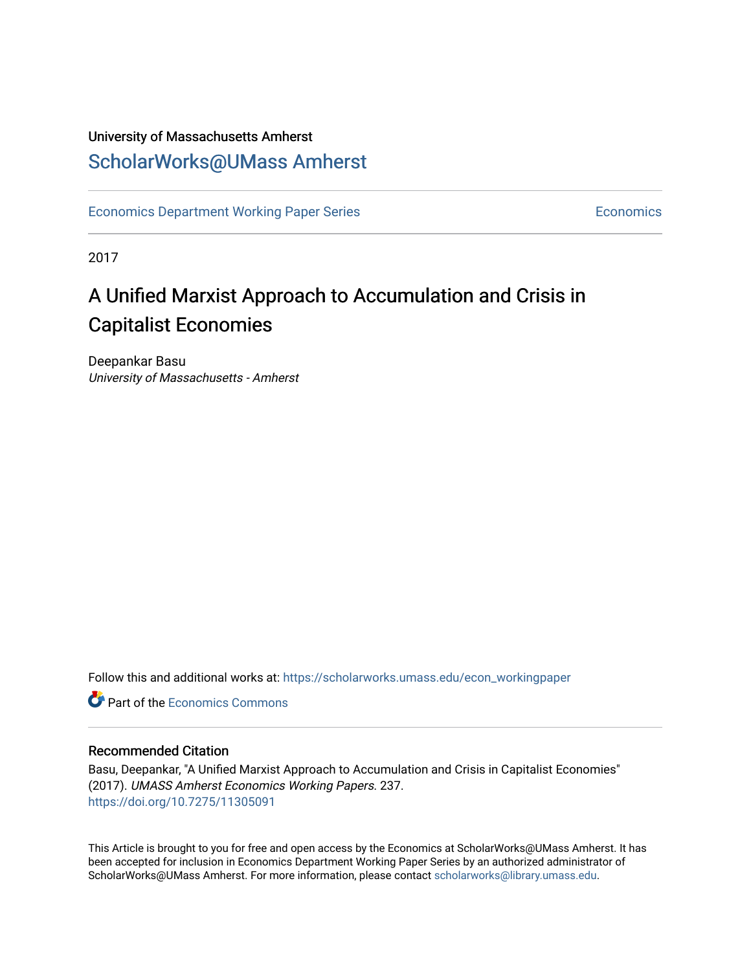# University of Massachusetts Amherst [ScholarWorks@UMass Amherst](https://scholarworks.umass.edu/)

[Economics Department Working Paper Series](https://scholarworks.umass.edu/econ_workingpaper) **Economics** Economics

2017

# A Unified Marxist Approach to Accumulation and Crisis in Capitalist Economies

Deepankar Basu University of Massachusetts - Amherst

Follow this and additional works at: [https://scholarworks.umass.edu/econ\\_workingpaper](https://scholarworks.umass.edu/econ_workingpaper?utm_source=scholarworks.umass.edu%2Fecon_workingpaper%2F237&utm_medium=PDF&utm_campaign=PDFCoverPages) 

**C** Part of the [Economics Commons](http://network.bepress.com/hgg/discipline/340?utm_source=scholarworks.umass.edu%2Fecon_workingpaper%2F237&utm_medium=PDF&utm_campaign=PDFCoverPages)

## Recommended Citation

Basu, Deepankar, "A Unified Marxist Approach to Accumulation and Crisis in Capitalist Economies" (2017). UMASS Amherst Economics Working Papers. 237. <https://doi.org/10.7275/11305091>

This Article is brought to you for free and open access by the Economics at ScholarWorks@UMass Amherst. It has been accepted for inclusion in Economics Department Working Paper Series by an authorized administrator of ScholarWorks@UMass Amherst. For more information, please contact [scholarworks@library.umass.edu.](mailto:scholarworks@library.umass.edu)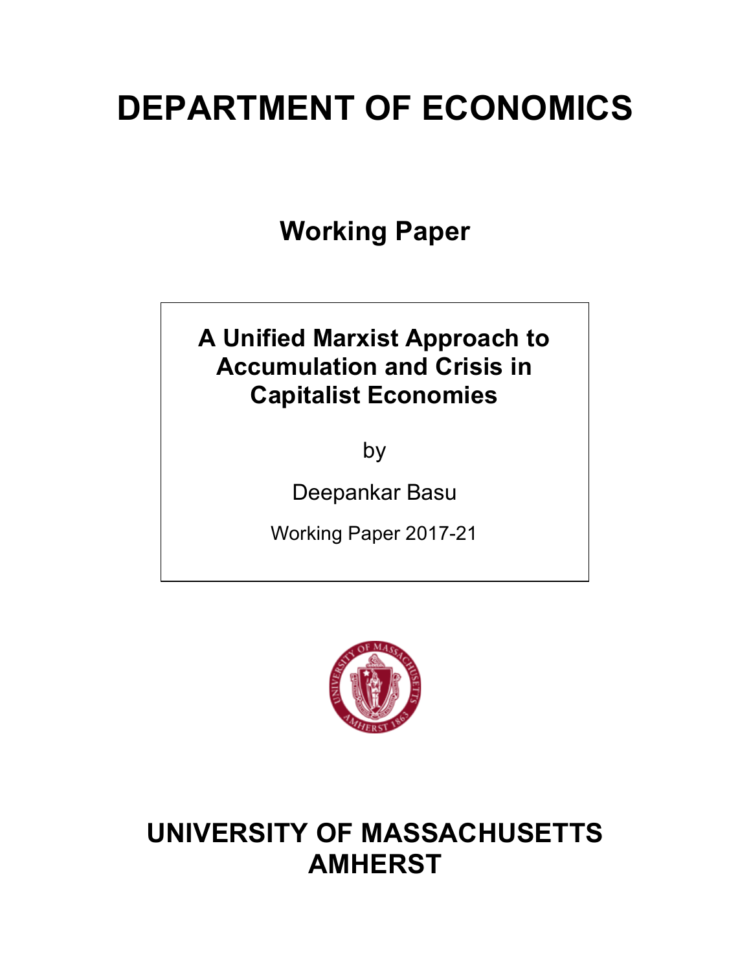# **DEPARTMENT OF ECONOMICS**

**Working Paper**

# **A Unified Marxist Approach to Accumulation and Crisis in Capitalist Economies**

by

Deepankar Basu

Working Paper 2017-21



# <span id="page-1-11"></span><span id="page-1-10"></span><span id="page-1-9"></span><span id="page-1-8"></span><span id="page-1-7"></span><span id="page-1-6"></span><span id="page-1-5"></span><span id="page-1-4"></span><span id="page-1-3"></span><span id="page-1-2"></span><span id="page-1-1"></span><span id="page-1-0"></span>**UNIVERSITY OF MASSACHUSETTS AMHERST**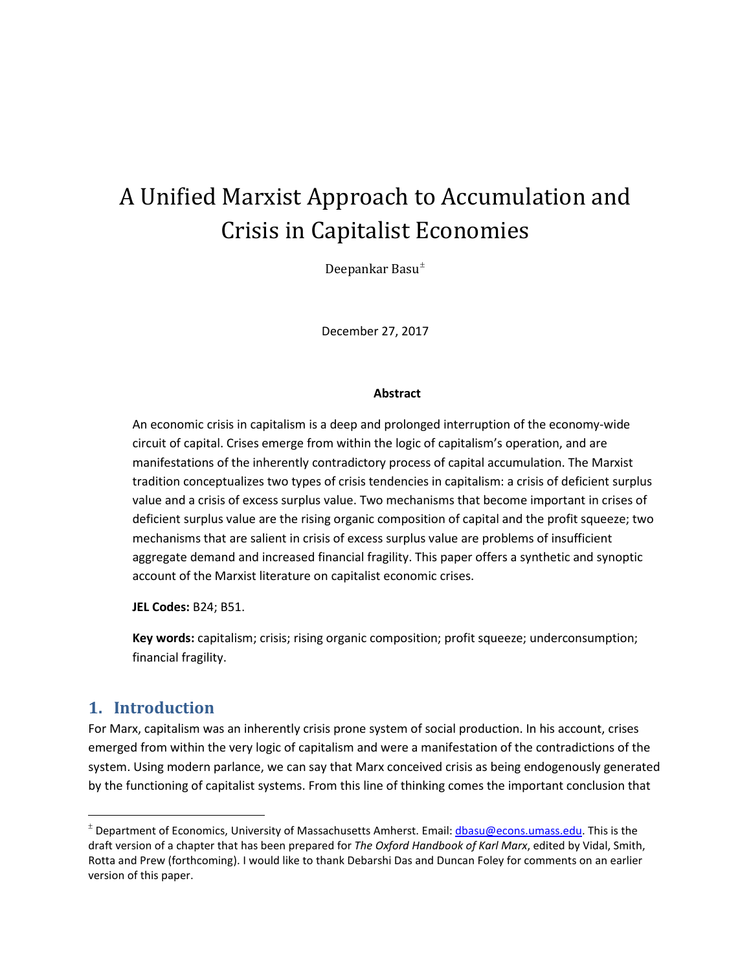# A Unified Marxist Approach to Accumulation and Crisis in Capitalist Economies

Deepankar Basu<sup>[±](#page-1-0)</sup>

December 27, 2017

#### **Abstract**

An economic crisis in capitalism is a deep and prolonged interruption of the economy-wide circuit of capital. Crises emerge from within the logic of capitalism's operation, and are manifestations of the inherently contradictory process of capital accumulation. The Marxist tradition conceptualizes two types of crisis tendencies in capitalism: a crisis of deficient surplus value and a crisis of excess surplus value. Two mechanisms that become important in crises of deficient surplus value are the rising organic composition of capital and the profit squeeze; two mechanisms that are salient in crisis of excess surplus value are problems of insufficient aggregate demand and increased financial fragility. This paper offers a synthetic and synoptic account of the Marxist literature on capitalist economic crises.

**JEL Codes:** B24; B51.

**Key words:** capitalism; crisis; rising organic composition; profit squeeze; underconsumption; financial fragility.

## **1. Introduction**

 $\overline{\phantom{a}}$ 

For Marx, capitalism was an inherently crisis prone system of social production. In his account, crises emerged from within the very logic of capitalism and were a manifestation of the contradictions of the system. Using modern parlance, we can say that Marx conceived crisis as being endogenously generated by the functioning of capitalist systems. From this line of thinking comes the important conclusion that

<sup>±</sup> Department of Economics, University of Massachusetts Amherst. Email[: dbasu@econs.umass.edu.](mailto:dbasu@econs.umass.edu) This is the draft version of a chapter that has been prepared for *The Oxford Handbook of Karl Marx*, edited by Vidal, Smith, Rotta and Prew (forthcoming). I would like to thank Debarshi Das and Duncan Foley for comments on an earlier version of this paper.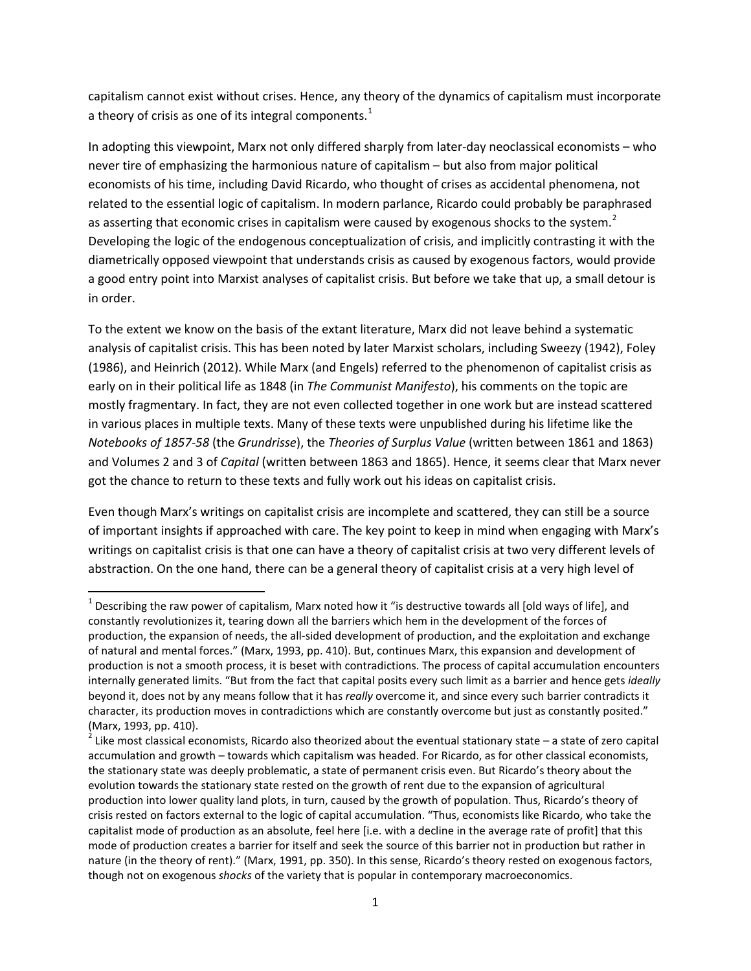capitalism cannot exist without crises. Hence, any theory of the dynamics of capitalism must incorporate a theory of crisis as one of its integral components.<sup>[1](#page-1-1)</sup>

In adopting this viewpoint, Marx not only differed sharply from later-day neoclassical economists – who never tire of emphasizing the harmonious nature of capitalism – but also from major political economists of his time, including David Ricardo, who thought of crises as accidental phenomena, not related to the essential logic of capitalism. In modern parlance, Ricardo could probably be paraphrased as asserting that economic crises in capitalism were caused by exogenous shocks to the system.<sup>[2](#page-1-2)</sup> Developing the logic of the endogenous conceptualization of crisis, and implicitly contrasting it with the diametrically opposed viewpoint that understands crisis as caused by exogenous factors, would provide a good entry point into Marxist analyses of capitalist crisis. But before we take that up, a small detour is in order.

To the extent we know on the basis of the extant literature, Marx did not leave behind a systematic analysis of capitalist crisis. This has been noted by later Marxist scholars, including Sweezy (1942), Foley (1986), and Heinrich (2012). While Marx (and Engels) referred to the phenomenon of capitalist crisis as early on in their political life as 1848 (in *The Communist Manifesto*), his comments on the topic are mostly fragmentary. In fact, they are not even collected together in one work but are instead scattered in various places in multiple texts. Many of these texts were unpublished during his lifetime like the *Notebooks of 1857-58* (the *Grundrisse*), the *Theories of Surplus Value* (written between 1861 and 1863) and Volumes 2 and 3 of *Capital* (written between 1863 and 1865). Hence, it seems clear that Marx never got the chance to return to these texts and fully work out his ideas on capitalist crisis.

Even though Marx's writings on capitalist crisis are incomplete and scattered, they can still be a source of important insights if approached with care. The key point to keep in mind when engaging with Marx's writings on capitalist crisis is that one can have a theory of capitalist crisis at two very different levels of abstraction. On the one hand, there can be a general theory of capitalist crisis at a very high level of

 $1$  Describing the raw power of capitalism, Marx noted how it "is destructive towards all [old ways of life], and constantly revolutionizes it, tearing down all the barriers which hem in the development of the forces of production, the expansion of needs, the all-sided development of production, and the exploitation and exchange of natural and mental forces." (Marx, 1993, pp. 410). But, continues Marx, this expansion and development of production is not a smooth process, it is beset with contradictions. The process of capital accumulation encounters internally generated limits. "But from the fact that capital posits every such limit as a barrier and hence gets *ideally* beyond it, does not by any means follow that it has *really* overcome it, and since every such barrier contradicts it character, its production moves in contradictions which are constantly overcome but just as constantly posited." (Marx, 1993, pp. 410).

 $2$  Like most classical economists, Ricardo also theorized about the eventual stationary state – a state of zero capital accumulation and growth – towards which capitalism was headed. For Ricardo, as for other classical economists, the stationary state was deeply problematic, a state of permanent crisis even. But Ricardo's theory about the evolution towards the stationary state rested on the growth of rent due to the expansion of agricultural production into lower quality land plots, in turn, caused by the growth of population. Thus, Ricardo's theory of crisis rested on factors external to the logic of capital accumulation. "Thus, economists like Ricardo, who take the capitalist mode of production as an absolute, feel here [i.e. with a decline in the average rate of profit] that this mode of production creates a barrier for itself and seek the source of this barrier not in production but rather in nature (in the theory of rent)." (Marx, 1991, pp. 350). In this sense, Ricardo's theory rested on exogenous factors, though not on exogenous *shocks* of the variety that is popular in contemporary macroeconomics.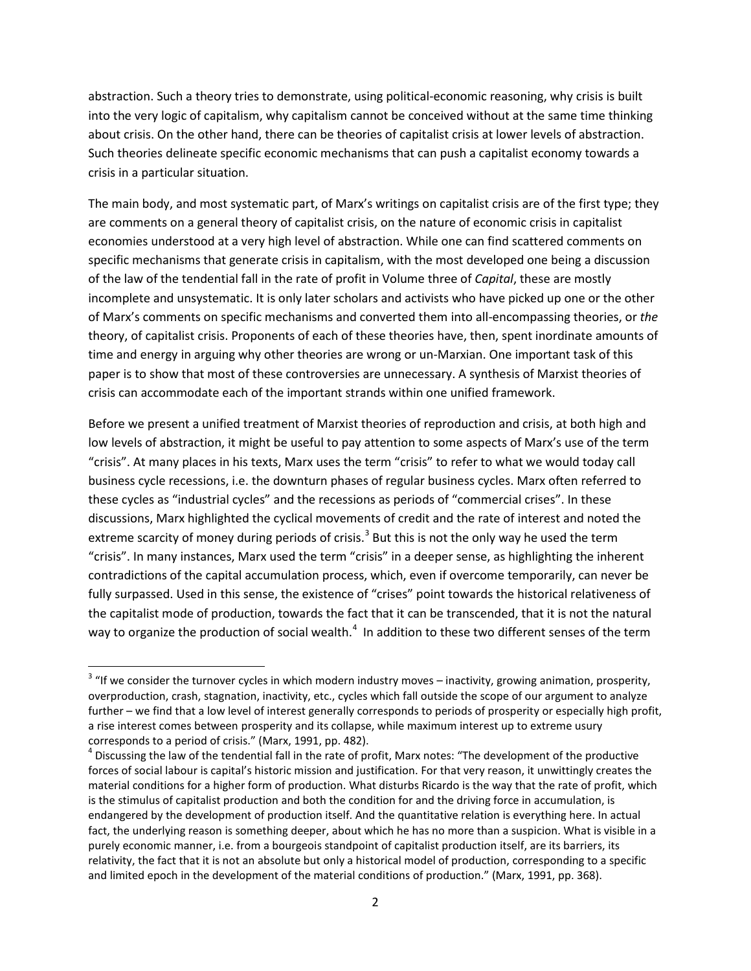abstraction. Such a theory tries to demonstrate, using political-economic reasoning, why crisis is built into the very logic of capitalism, why capitalism cannot be conceived without at the same time thinking about crisis. On the other hand, there can be theories of capitalist crisis at lower levels of abstraction. Such theories delineate specific economic mechanisms that can push a capitalist economy towards a crisis in a particular situation.

The main body, and most systematic part, of Marx's writings on capitalist crisis are of the first type; they are comments on a general theory of capitalist crisis, on the nature of economic crisis in capitalist economies understood at a very high level of abstraction. While one can find scattered comments on specific mechanisms that generate crisis in capitalism, with the most developed one being a discussion of the law of the tendential fall in the rate of profit in Volume three of *Capital*, these are mostly incomplete and unsystematic. It is only later scholars and activists who have picked up one or the other of Marx's comments on specific mechanisms and converted them into all-encompassing theories, or *the* theory, of capitalist crisis. Proponents of each of these theories have, then, spent inordinate amounts of time and energy in arguing why other theories are wrong or un-Marxian. One important task of this paper is to show that most of these controversies are unnecessary. A synthesis of Marxist theories of crisis can accommodate each of the important strands within one unified framework.

Before we present a unified treatment of Marxist theories of reproduction and crisis, at both high and low levels of abstraction, it might be useful to pay attention to some aspects of Marx's use of the term "crisis". At many places in his texts, Marx uses the term "crisis" to refer to what we would today call business cycle recessions, i.e. the downturn phases of regular business cycles. Marx often referred to these cycles as "industrial cycles" and the recessions as periods of "commercial crises". In these discussions, Marx highlighted the cyclical movements of credit and the rate of interest and noted the extreme scarcity of money during periods of crisis.<sup>[3](#page-1-3)</sup> But this is not the only way he used the term "crisis". In many instances, Marx used the term "crisis" in a deeper sense, as highlighting the inherent contradictions of the capital accumulation process, which, even if overcome temporarily, can never be fully surpassed. Used in this sense, the existence of "crises" point towards the historical relativeness of the capitalist mode of production, towards the fact that it can be transcended, that it is not the natural way to organize the production of social wealth. $4\,$  $4\,$  In addition to these two different senses of the term

 $3$  "If we consider the turnover cycles in which modern industry moves – inactivity, growing animation, prosperity, overproduction, crash, stagnation, inactivity, etc., cycles which fall outside the scope of our argument to analyze further – we find that a low level of interest generally corresponds to periods of prosperity or especially high profit, a rise interest comes between prosperity and its collapse, while maximum interest up to extreme usury corresponds to a period of crisis." (Marx, 1991, pp. 482).

 $4$  Discussing the law of the tendential fall in the rate of profit, Marx notes: "The development of the productive forces of social labour is capital's historic mission and justification. For that very reason, it unwittingly creates the material conditions for a higher form of production. What disturbs Ricardo is the way that the rate of profit, which is the stimulus of capitalist production and both the condition for and the driving force in accumulation, is endangered by the development of production itself. And the quantitative relation is everything here. In actual fact, the underlying reason is something deeper, about which he has no more than a suspicion. What is visible in a purely economic manner, i.e. from a bourgeois standpoint of capitalist production itself, are its barriers, its relativity, the fact that it is not an absolute but only a historical model of production, corresponding to a specific and limited epoch in the development of the material conditions of production." (Marx, 1991, pp. 368).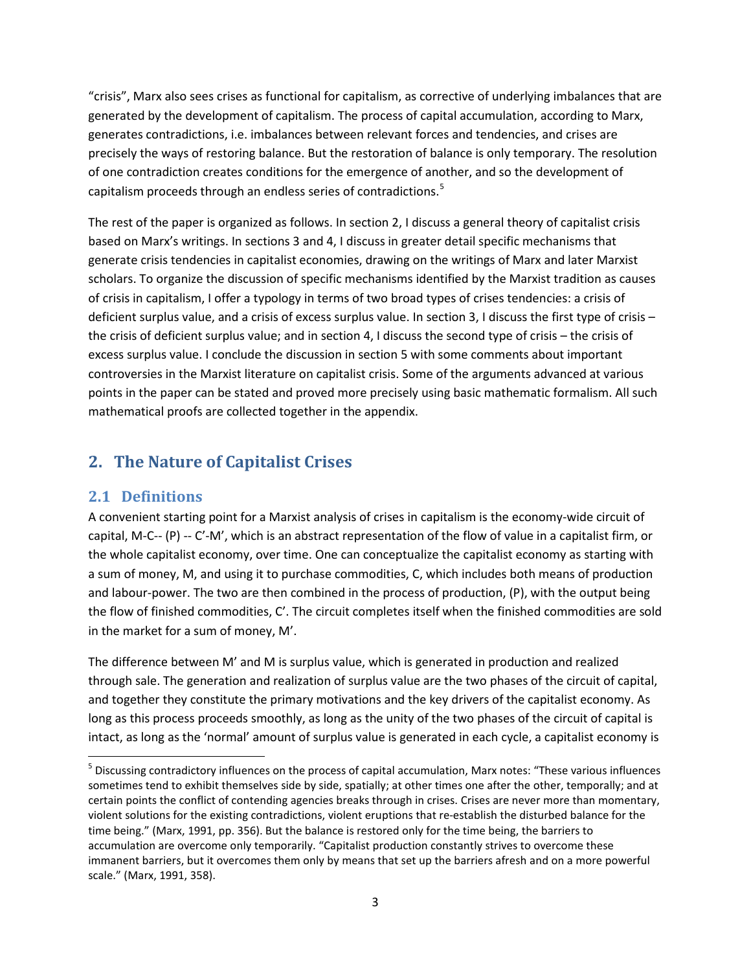"crisis", Marx also sees crises as functional for capitalism, as corrective of underlying imbalances that are generated by the development of capitalism. The process of capital accumulation, according to Marx, generates contradictions, i.e. imbalances between relevant forces and tendencies, and crises are precisely the ways of restoring balance. But the restoration of balance is only temporary. The resolution of one contradiction creates conditions for the emergence of another, and so the development of capitalism proceeds through an endless series of contradictions.<sup>[5](#page-1-5)</sup>

The rest of the paper is organized as follows. In section 2, I discuss a general theory of capitalist crisis based on Marx's writings. In sections 3 and 4, I discuss in greater detail specific mechanisms that generate crisis tendencies in capitalist economies, drawing on the writings of Marx and later Marxist scholars. To organize the discussion of specific mechanisms identified by the Marxist tradition as causes of crisis in capitalism, I offer a typology in terms of two broad types of crises tendencies: a crisis of deficient surplus value, and a crisis of excess surplus value. In section 3, I discuss the first type of crisis – the crisis of deficient surplus value; and in section 4, I discuss the second type of crisis – the crisis of excess surplus value. I conclude the discussion in section 5 with some comments about important controversies in the Marxist literature on capitalist crisis. Some of the arguments advanced at various points in the paper can be stated and proved more precisely using basic mathematic formalism. All such mathematical proofs are collected together in the appendix.

# **2. The Nature of Capitalist Crises**

## **2.1 Definitions**

A convenient starting point for a Marxist analysis of crises in capitalism is the economy-wide circuit of capital, M-C-- (P) -- C'-M', which is an abstract representation of the flow of value in a capitalist firm, or the whole capitalist economy, over time. One can conceptualize the capitalist economy as starting with a sum of money, M, and using it to purchase commodities, C, which includes both means of production and labour-power. The two are then combined in the process of production, (P), with the output being the flow of finished commodities, C'. The circuit completes itself when the finished commodities are sold in the market for a sum of money, M'.

The difference between M' and M is surplus value, which is generated in production and realized through sale. The generation and realization of surplus value are the two phases of the circuit of capital, and together they constitute the primary motivations and the key drivers of the capitalist economy. As long as this process proceeds smoothly, as long as the unity of the two phases of the circuit of capital is intact, as long as the 'normal' amount of surplus value is generated in each cycle, a capitalist economy is

 <sup>5</sup> Discussing contradictory influences on the process of capital accumulation, Marx notes: "These various influences sometimes tend to exhibit themselves side by side, spatially; at other times one after the other, temporally; and at certain points the conflict of contending agencies breaks through in crises. Crises are never more than momentary, violent solutions for the existing contradictions, violent eruptions that re-establish the disturbed balance for the time being." (Marx, 1991, pp. 356). But the balance is restored only for the time being, the barriers to accumulation are overcome only temporarily. "Capitalist production constantly strives to overcome these immanent barriers, but it overcomes them only by means that set up the barriers afresh and on a more powerful scale." (Marx, 1991, 358).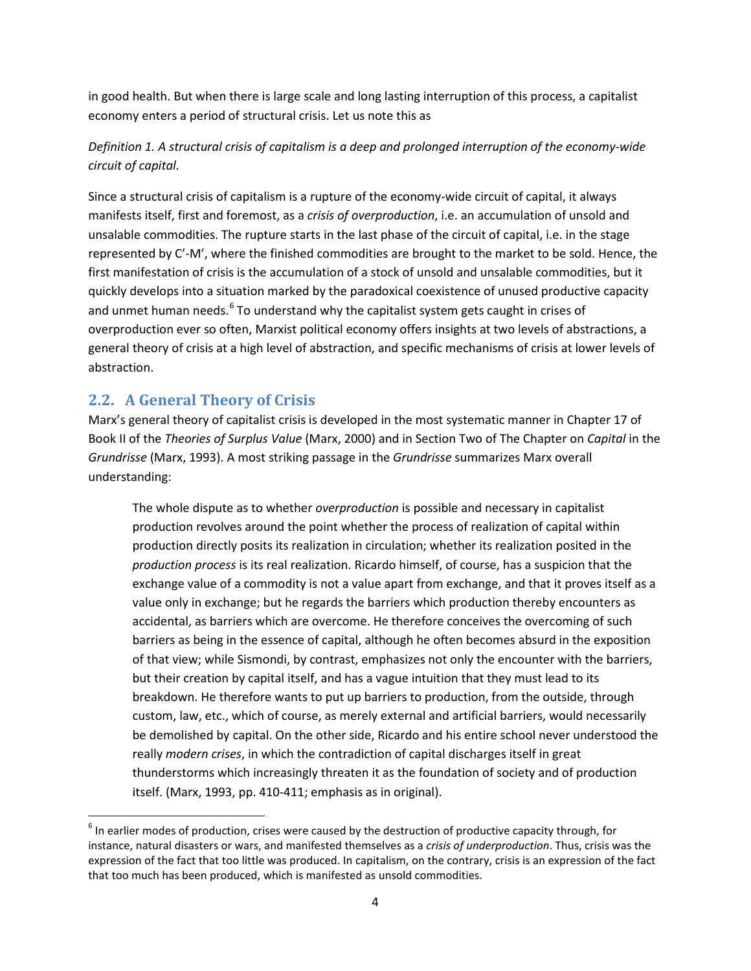in good health. But when there is large scale and long lasting interruption of this process, a capitalist economy enters a period of structural crisis. Let us note this as

# *Definition 1. A structural crisis of capitalism is a deep and prolonged interruption of the economy-wide circuit of capital.*

Since a structural crisis of capitalism is a rupture of the economy-wide circuit of capital, it always manifests itself, first and foremost, as a *crisis of overproduction*, i.e. an accumulation of unsold and unsalable commodities. The rupture starts in the last phase of the circuit of capital, i.e. in the stage represented by C'-M', where the finished commodities are brought to the market to be sold. Hence, the first manifestation of crisis is the accumulation of a stock of unsold and unsalable commodities, but it quickly develops into a situation marked by the paradoxical coexistence of unused productive capacity and unmet human needs. $6$  To understand why the capitalist system gets caught in crises of overproduction ever so often, Marxist political economy offers insights at two levels of abstractions, a general theory of crisis at a high level of abstraction, and specific mechanisms of crisis at lower levels of abstraction.

# **2.2. A General Theory of Crisis**

Marx's general theory of capitalist crisis is developed in the most systematic manner in Chapter 17 of Book II of the *Theories of Surplus Value* (Marx, 2000) and in Section Two of The Chapter on *Capital* in the *Grundrisse* (Marx, 1993). A most striking passage in the *Grundrisse* summarizes Marx overall understanding:

The whole dispute as to whether *overproduction* is possible and necessary in capitalist production revolves around the point whether the process of realization of capital within production directly posits its realization in circulation; whether its realization posited in the *production process* is its real realization. Ricardo himself, of course, has a suspicion that the exchange value of a commodity is not a value apart from exchange, and that it proves itself as a value only in exchange; but he regards the barriers which production thereby encounters as accidental, as barriers which are overcome. He therefore conceives the overcoming of such barriers as being in the essence of capital, although he often becomes absurd in the exposition of that view; while Sismondi, by contrast, emphasizes not only the encounter with the barriers, but their creation by capital itself, and has a vague intuition that they must lead to its breakdown. He therefore wants to put up barriers to production, from the outside, through custom, law, etc., which of course, as merely external and artificial barriers, would necessarily be demolished by capital. On the other side, Ricardo and his entire school never understood the really *modern crises*, in which the contradiction of capital discharges itself in great thunderstorms which increasingly threaten it as the foundation of society and of production itself. (Marx, 1993, pp. 410-411; emphasis as in original).

 $6$  In earlier modes of production, crises were caused by the destruction of productive capacity through, for instance, natural disasters or wars, and manifested themselves as a *crisis of underproduction*. Thus, crisis was the expression of the fact that too little was produced. In capitalism, on the contrary, crisis is an expression of the fact that too much has been produced, which is manifested as unsold commodities.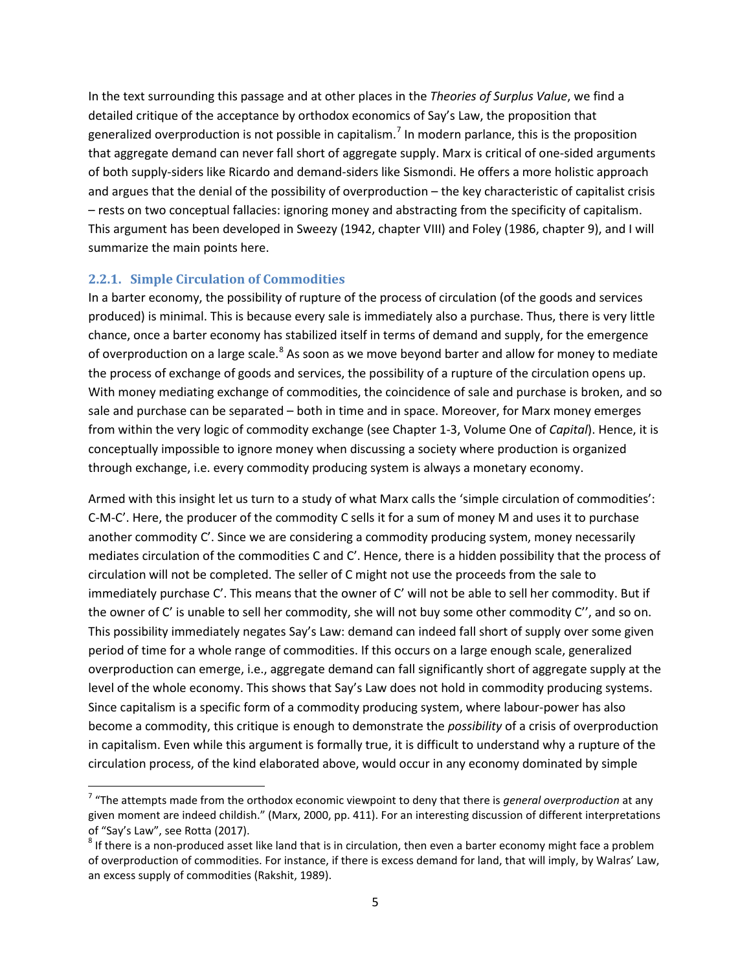In the text surrounding this passage and at other places in the *Theories of Surplus Value*, we find a detailed critique of the acceptance by orthodox economics of Say's Law, the proposition that generalized overproduction is not possible in capitalism.<sup>[7](#page-1-7)</sup> In modern parlance, this is the proposition that aggregate demand can never fall short of aggregate supply. Marx is critical of one-sided arguments of both supply-siders like Ricardo and demand-siders like Sismondi. He offers a more holistic approach and argues that the denial of the possibility of overproduction – the key characteristic of capitalist crisis – rests on two conceptual fallacies: ignoring money and abstracting from the specificity of capitalism. This argument has been developed in Sweezy (1942, chapter VIII) and Foley (1986, chapter 9), and I will summarize the main points here.

## **2.2.1. Simple Circulation of Commodities**

In a barter economy, the possibility of rupture of the process of circulation (of the goods and services produced) is minimal. This is because every sale is immediately also a purchase. Thus, there is very little chance, once a barter economy has stabilized itself in terms of demand and supply, for the emergence of overproduction on a large scale.<sup>[8](#page-1-8)</sup> As soon as we move beyond barter and allow for money to mediate the process of exchange of goods and services, the possibility of a rupture of the circulation opens up. With money mediating exchange of commodities, the coincidence of sale and purchase is broken, and so sale and purchase can be separated – both in time and in space. Moreover, for Marx money emerges from within the very logic of commodity exchange (see Chapter 1-3, Volume One of *Capital*). Hence, it is conceptually impossible to ignore money when discussing a society where production is organized through exchange, i.e. every commodity producing system is always a monetary economy.

Armed with this insight let us turn to a study of what Marx calls the 'simple circulation of commodities': C-M-C'. Here, the producer of the commodity C sells it for a sum of money M and uses it to purchase another commodity C'. Since we are considering a commodity producing system, money necessarily mediates circulation of the commodities C and C'. Hence, there is a hidden possibility that the process of circulation will not be completed. The seller of C might not use the proceeds from the sale to immediately purchase C'. This means that the owner of C' will not be able to sell her commodity. But if the owner of C' is unable to sell her commodity, she will not buy some other commodity C'', and so on. This possibility immediately negates Say's Law: demand can indeed fall short of supply over some given period of time for a whole range of commodities. If this occurs on a large enough scale, generalized overproduction can emerge, i.e., aggregate demand can fall significantly short of aggregate supply at the level of the whole economy. This shows that Say's Law does not hold in commodity producing systems. Since capitalism is a specific form of a commodity producing system, where labour-power has also become a commodity, this critique is enough to demonstrate the *possibility* of a crisis of overproduction in capitalism. Even while this argument is formally true, it is difficult to understand why a rupture of the circulation process, of the kind elaborated above, would occur in any economy dominated by simple

 <sup>7</sup> "The attempts made from the orthodox economic viewpoint to deny that there is *general overproduction* at any given moment are indeed childish." (Marx, 2000, pp. 411). For an interesting discussion of different interpretations of "Say's Law", see Rotta (2017).

 $8$  If there is a non-produced asset like land that is in circulation, then even a barter economy might face a problem of overproduction of commodities. For instance, if there is excess demand for land, that will imply, by Walras' Law, an excess supply of commodities (Rakshit, 1989).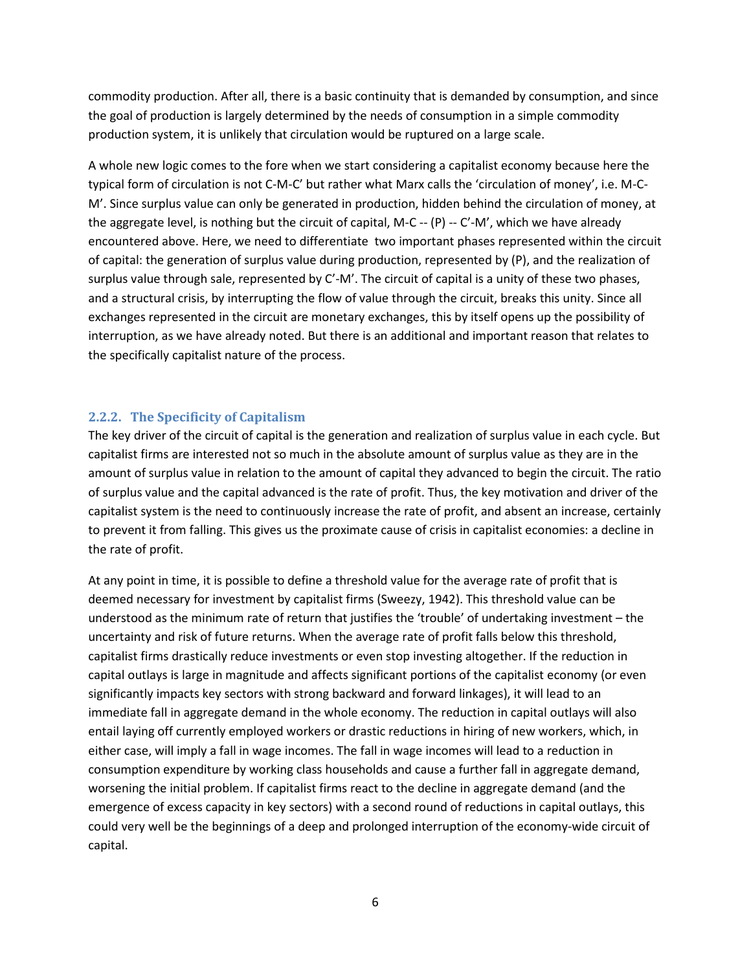commodity production. After all, there is a basic continuity that is demanded by consumption, and since the goal of production is largely determined by the needs of consumption in a simple commodity production system, it is unlikely that circulation would be ruptured on a large scale.

A whole new logic comes to the fore when we start considering a capitalist economy because here the typical form of circulation is not C-M-C' but rather what Marx calls the 'circulation of money', i.e. M-C-M'. Since surplus value can only be generated in production, hidden behind the circulation of money, at the aggregate level, is nothing but the circuit of capital, M-C --  $(P)$  --  $C'$ -M', which we have already encountered above. Here, we need to differentiate two important phases represented within the circuit of capital: the generation of surplus value during production, represented by (P), and the realization of surplus value through sale, represented by C'-M'. The circuit of capital is a unity of these two phases, and a structural crisis, by interrupting the flow of value through the circuit, breaks this unity. Since all exchanges represented in the circuit are monetary exchanges, this by itself opens up the possibility of interruption, as we have already noted. But there is an additional and important reason that relates to the specifically capitalist nature of the process.

## **2.2.2. The Specificity of Capitalism**

The key driver of the circuit of capital is the generation and realization of surplus value in each cycle. But capitalist firms are interested not so much in the absolute amount of surplus value as they are in the amount of surplus value in relation to the amount of capital they advanced to begin the circuit. The ratio of surplus value and the capital advanced is the rate of profit. Thus, the key motivation and driver of the capitalist system is the need to continuously increase the rate of profit, and absent an increase, certainly to prevent it from falling. This gives us the proximate cause of crisis in capitalist economies: a decline in the rate of profit.

At any point in time, it is possible to define a threshold value for the average rate of profit that is deemed necessary for investment by capitalist firms (Sweezy, 1942). This threshold value can be understood as the minimum rate of return that justifies the 'trouble' of undertaking investment – the uncertainty and risk of future returns. When the average rate of profit falls below this threshold, capitalist firms drastically reduce investments or even stop investing altogether. If the reduction in capital outlays is large in magnitude and affects significant portions of the capitalist economy (or even significantly impacts key sectors with strong backward and forward linkages), it will lead to an immediate fall in aggregate demand in the whole economy. The reduction in capital outlays will also entail laying off currently employed workers or drastic reductions in hiring of new workers, which, in either case, will imply a fall in wage incomes. The fall in wage incomes will lead to a reduction in consumption expenditure by working class households and cause a further fall in aggregate demand, worsening the initial problem. If capitalist firms react to the decline in aggregate demand (and the emergence of excess capacity in key sectors) with a second round of reductions in capital outlays, this could very well be the beginnings of a deep and prolonged interruption of the economy-wide circuit of capital.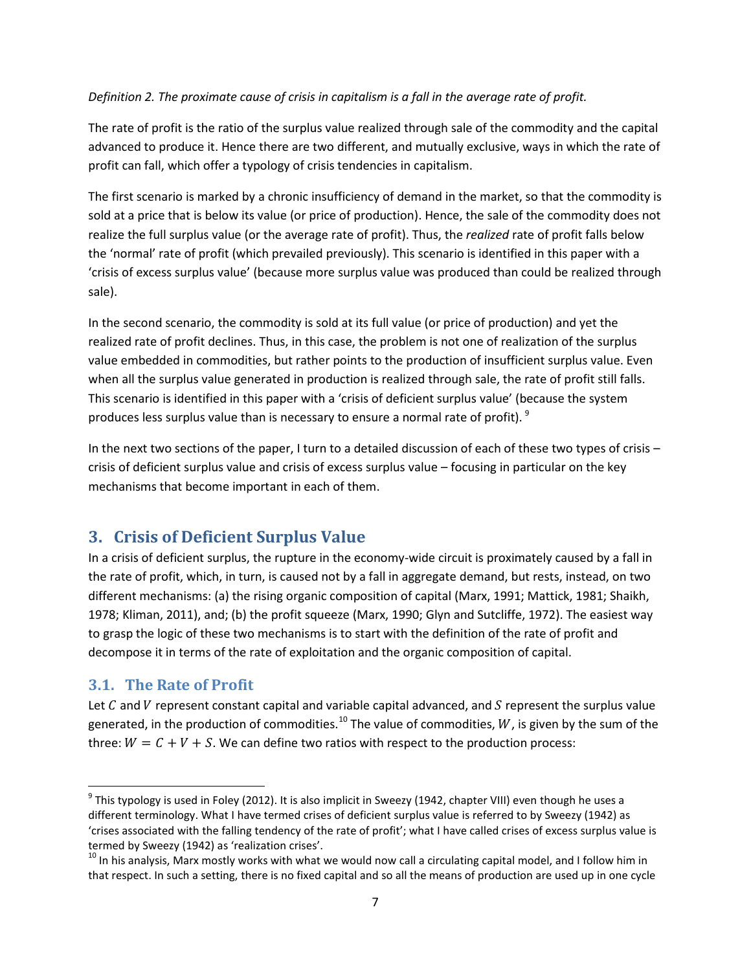### *Definition 2. The proximate cause of crisis in capitalism is a fall in the average rate of profit.*

The rate of profit is the ratio of the surplus value realized through sale of the commodity and the capital advanced to produce it. Hence there are two different, and mutually exclusive, ways in which the rate of profit can fall, which offer a typology of crisis tendencies in capitalism.

The first scenario is marked by a chronic insufficiency of demand in the market, so that the commodity is sold at a price that is below its value (or price of production). Hence, the sale of the commodity does not realize the full surplus value (or the average rate of profit). Thus, the *realized* rate of profit falls below the 'normal' rate of profit (which prevailed previously). This scenario is identified in this paper with a 'crisis of excess surplus value' (because more surplus value was produced than could be realized through sale).

In the second scenario, the commodity is sold at its full value (or price of production) and yet the realized rate of profit declines. Thus, in this case, the problem is not one of realization of the surplus value embedded in commodities, but rather points to the production of insufficient surplus value. Even when all the surplus value generated in production is realized through sale, the rate of profit still falls. This scenario is identified in this paper with a 'crisis of deficient surplus value' (because the system produces less surplus value than is necessary to ensure a normal rate of profit).  $^9$  $^9$ 

In the next two sections of the paper, I turn to a detailed discussion of each of these two types of crisis – crisis of deficient surplus value and crisis of excess surplus value – focusing in particular on the key mechanisms that become important in each of them.

# **3. Crisis of Deficient Surplus Value**

In a crisis of deficient surplus, the rupture in the economy-wide circuit is proximately caused by a fall in the rate of profit, which, in turn, is caused not by a fall in aggregate demand, but rests, instead, on two different mechanisms: (a) the rising organic composition of capital (Marx, 1991; Mattick, 1981; Shaikh, 1978; Kliman, 2011), and; (b) the profit squeeze (Marx, 1990; Glyn and Sutcliffe, 1972). The easiest way to grasp the logic of these two mechanisms is to start with the definition of the rate of profit and decompose it in terms of the rate of exploitation and the organic composition of capital.

## **3.1. The Rate of Profit**

Let  $C$  and  $V$  represent constant capital and variable capital advanced, and  $S$  represent the surplus value generated, in the production of commodities.<sup>[10](#page-1-9)</sup> The value of commodities, W, is given by the sum of the three:  $W = C + V + S$ . We can define two ratios with respect to the production process:

 $^9$  This typology is used in Foley (2012). It is also implicit in Sweezy (1942, chapter VIII) even though he uses a different terminology. What I have termed crises of deficient surplus value is referred to by Sweezy (1942) as 'crises associated with the falling tendency of the rate of profit'; what I have called crises of excess surplus value is termed by Sweezy (1942) as 'realization crises'.<br><sup>10</sup> In his analysis, Marx mostly works with what we would now call a circulating capital model, and I follow him in

that respect. In such a setting, there is no fixed capital and so all the means of production are used up in one cycle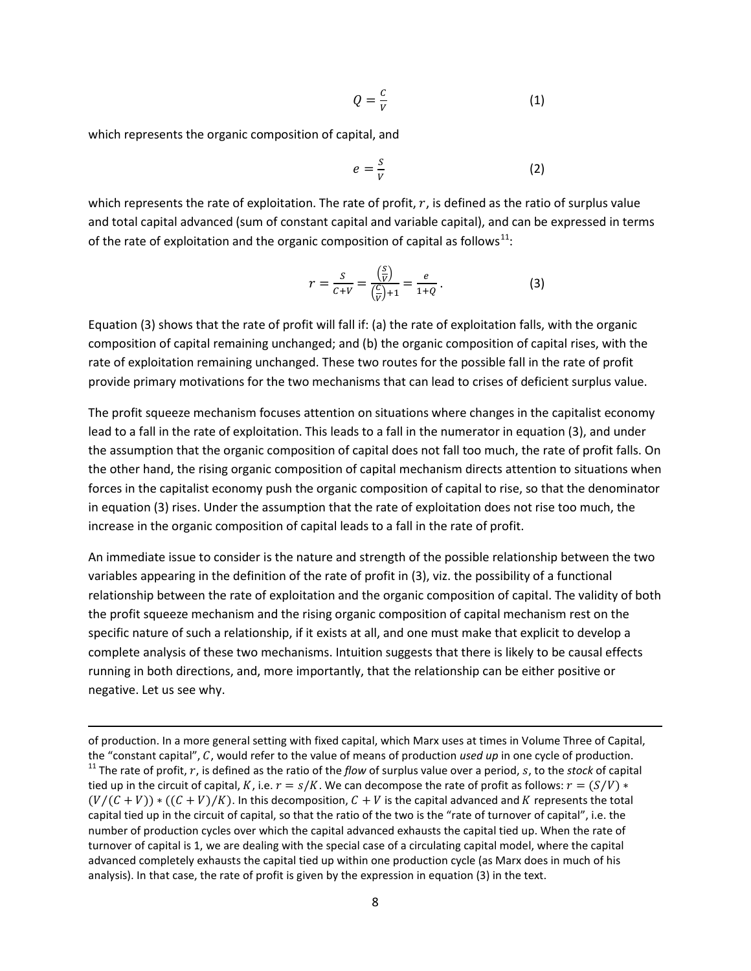$$
Q = \frac{c}{v} \tag{1}
$$

which represents the organic composition of capital, and

 $\overline{\phantom{a}}$ 

$$
e = \frac{s}{v} \tag{2}
$$

which represents the rate of exploitation. The rate of profit,  $r$ , is defined as the ratio of surplus value and total capital advanced (sum of constant capital and variable capital), and can be expressed in terms of the rate of exploitation and the organic composition of capital as follows $^{11}$  $^{11}$  $^{11}$ :

$$
r = \frac{s}{c+v} = \frac{\left(\frac{S}{V}\right)}{\left(\frac{C}{V}\right)+1} = \frac{e}{1+Q}.
$$
 (3)

Equation (3) shows that the rate of profit will fall if: (a) the rate of exploitation falls, with the organic composition of capital remaining unchanged; and (b) the organic composition of capital rises, with the rate of exploitation remaining unchanged. These two routes for the possible fall in the rate of profit provide primary motivations for the two mechanisms that can lead to crises of deficient surplus value.

The profit squeeze mechanism focuses attention on situations where changes in the capitalist economy lead to a fall in the rate of exploitation. This leads to a fall in the numerator in equation (3), and under the assumption that the organic composition of capital does not fall too much, the rate of profit falls. On the other hand, the rising organic composition of capital mechanism directs attention to situations when forces in the capitalist economy push the organic composition of capital to rise, so that the denominator in equation (3) rises. Under the assumption that the rate of exploitation does not rise too much, the increase in the organic composition of capital leads to a fall in the rate of profit.

An immediate issue to consider is the nature and strength of the possible relationship between the two variables appearing in the definition of the rate of profit in (3), viz. the possibility of a functional relationship between the rate of exploitation and the organic composition of capital. The validity of both the profit squeeze mechanism and the rising organic composition of capital mechanism rest on the specific nature of such a relationship, if it exists at all, and one must make that explicit to develop a complete analysis of these two mechanisms. Intuition suggests that there is likely to be causal effects running in both directions, and, more importantly, that the relationship can be either positive or negative. Let us see why.

of production. In a more general setting with fixed capital, which Marx uses at times in Volume Three of Capital, the "constant capital",  $C$ , would refer to the value of means of production *used up* in one cycle of production.<br><sup>11</sup> The rate of profit,  $r$ , is defined as the ratio of the *flow* of surplus value over a period,  $s$ , t tied up in the circuit of capital, K, i.e.  $r = s/K$ . We can decompose the rate of profit as follows:  $r = (S/V) *$  $(V/(C + V)) * ((C + V)/K)$ . In this decomposition,  $C + V$  is the capital advanced and K represents the total capital tied up in the circuit of capital, so that the ratio of the two is the "rate of turnover of capital", i.e. the number of production cycles over which the capital advanced exhausts the capital tied up. When the rate of turnover of capital is 1, we are dealing with the special case of a circulating capital model, where the capital advanced completely exhausts the capital tied up within one production cycle (as Marx does in much of his analysis). In that case, the rate of profit is given by the expression in equation (3) in the text.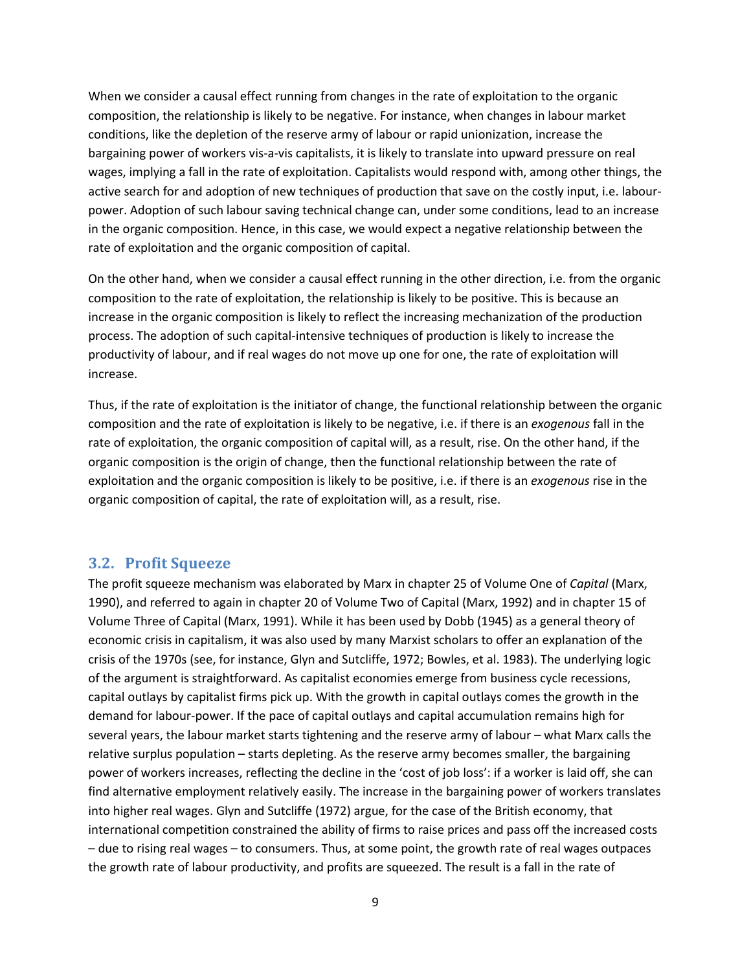When we consider a causal effect running from changes in the rate of exploitation to the organic composition, the relationship is likely to be negative. For instance, when changes in labour market conditions, like the depletion of the reserve army of labour or rapid unionization, increase the bargaining power of workers vis-a-vis capitalists, it is likely to translate into upward pressure on real wages, implying a fall in the rate of exploitation. Capitalists would respond with, among other things, the active search for and adoption of new techniques of production that save on the costly input, i.e. labourpower. Adoption of such labour saving technical change can, under some conditions, lead to an increase in the organic composition. Hence, in this case, we would expect a negative relationship between the rate of exploitation and the organic composition of capital.

On the other hand, when we consider a causal effect running in the other direction, i.e. from the organic composition to the rate of exploitation, the relationship is likely to be positive. This is because an increase in the organic composition is likely to reflect the increasing mechanization of the production process. The adoption of such capital-intensive techniques of production is likely to increase the productivity of labour, and if real wages do not move up one for one, the rate of exploitation will increase.

Thus, if the rate of exploitation is the initiator of change, the functional relationship between the organic composition and the rate of exploitation is likely to be negative, i.e. if there is an *exogenous* fall in the rate of exploitation, the organic composition of capital will, as a result, rise. On the other hand, if the organic composition is the origin of change, then the functional relationship between the rate of exploitation and the organic composition is likely to be positive, i.e. if there is an *exogenous* rise in the organic composition of capital, the rate of exploitation will, as a result, rise.

## **3.2. Profit Squeeze**

The profit squeeze mechanism was elaborated by Marx in chapter 25 of Volume One of *Capital* (Marx, 1990), and referred to again in chapter 20 of Volume Two of Capital (Marx, 1992) and in chapter 15 of Volume Three of Capital (Marx, 1991). While it has been used by Dobb (1945) as a general theory of economic crisis in capitalism, it was also used by many Marxist scholars to offer an explanation of the crisis of the 1970s (see, for instance, Glyn and Sutcliffe, 1972; Bowles, et al. 1983). The underlying logic of the argument is straightforward. As capitalist economies emerge from business cycle recessions, capital outlays by capitalist firms pick up. With the growth in capital outlays comes the growth in the demand for labour-power. If the pace of capital outlays and capital accumulation remains high for several years, the labour market starts tightening and the reserve army of labour – what Marx calls the relative surplus population – starts depleting. As the reserve army becomes smaller, the bargaining power of workers increases, reflecting the decline in the 'cost of job loss': if a worker is laid off, she can find alternative employment relatively easily. The increase in the bargaining power of workers translates into higher real wages. Glyn and Sutcliffe (1972) argue, for the case of the British economy, that international competition constrained the ability of firms to raise prices and pass off the increased costs – due to rising real wages – to consumers. Thus, at some point, the growth rate of real wages outpaces the growth rate of labour productivity, and profits are squeezed. The result is a fall in the rate of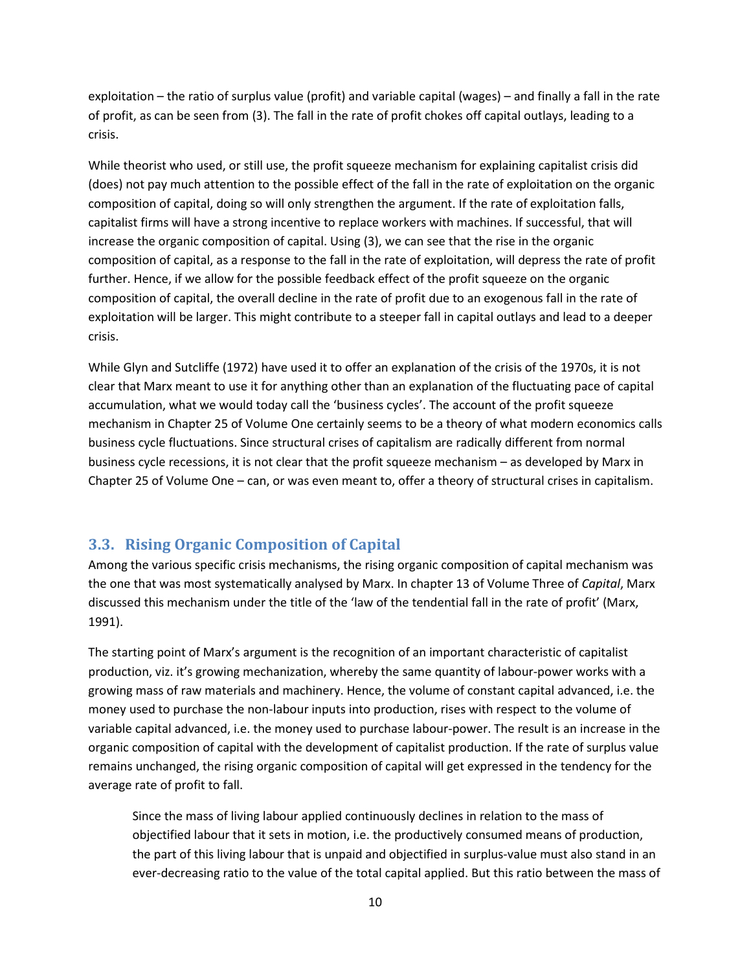exploitation – the ratio of surplus value (profit) and variable capital (wages) – and finally a fall in the rate of profit, as can be seen from (3). The fall in the rate of profit chokes off capital outlays, leading to a crisis.

While theorist who used, or still use, the profit squeeze mechanism for explaining capitalist crisis did (does) not pay much attention to the possible effect of the fall in the rate of exploitation on the organic composition of capital, doing so will only strengthen the argument. If the rate of exploitation falls, capitalist firms will have a strong incentive to replace workers with machines. If successful, that will increase the organic composition of capital. Using (3), we can see that the rise in the organic composition of capital, as a response to the fall in the rate of exploitation, will depress the rate of profit further. Hence, if we allow for the possible feedback effect of the profit squeeze on the organic composition of capital, the overall decline in the rate of profit due to an exogenous fall in the rate of exploitation will be larger. This might contribute to a steeper fall in capital outlays and lead to a deeper crisis.

While Glyn and Sutcliffe (1972) have used it to offer an explanation of the crisis of the 1970s, it is not clear that Marx meant to use it for anything other than an explanation of the fluctuating pace of capital accumulation, what we would today call the 'business cycles'. The account of the profit squeeze mechanism in Chapter 25 of Volume One certainly seems to be a theory of what modern economics calls business cycle fluctuations. Since structural crises of capitalism are radically different from normal business cycle recessions, it is not clear that the profit squeeze mechanism – as developed by Marx in Chapter 25 of Volume One – can, or was even meant to, offer a theory of structural crises in capitalism.

# **3.3. Rising Organic Composition of Capital**

Among the various specific crisis mechanisms, the rising organic composition of capital mechanism was the one that was most systematically analysed by Marx. In chapter 13 of Volume Three of *Capital*, Marx discussed this mechanism under the title of the 'law of the tendential fall in the rate of profit' (Marx, 1991).

The starting point of Marx's argument is the recognition of an important characteristic of capitalist production, viz. it's growing mechanization, whereby the same quantity of labour-power works with a growing mass of raw materials and machinery. Hence, the volume of constant capital advanced, i.e. the money used to purchase the non-labour inputs into production, rises with respect to the volume of variable capital advanced, i.e. the money used to purchase labour-power. The result is an increase in the organic composition of capital with the development of capitalist production. If the rate of surplus value remains unchanged, the rising organic composition of capital will get expressed in the tendency for the average rate of profit to fall.

Since the mass of living labour applied continuously declines in relation to the mass of objectified labour that it sets in motion, i.e. the productively consumed means of production, the part of this living labour that is unpaid and objectified in surplus-value must also stand in an ever-decreasing ratio to the value of the total capital applied. But this ratio between the mass of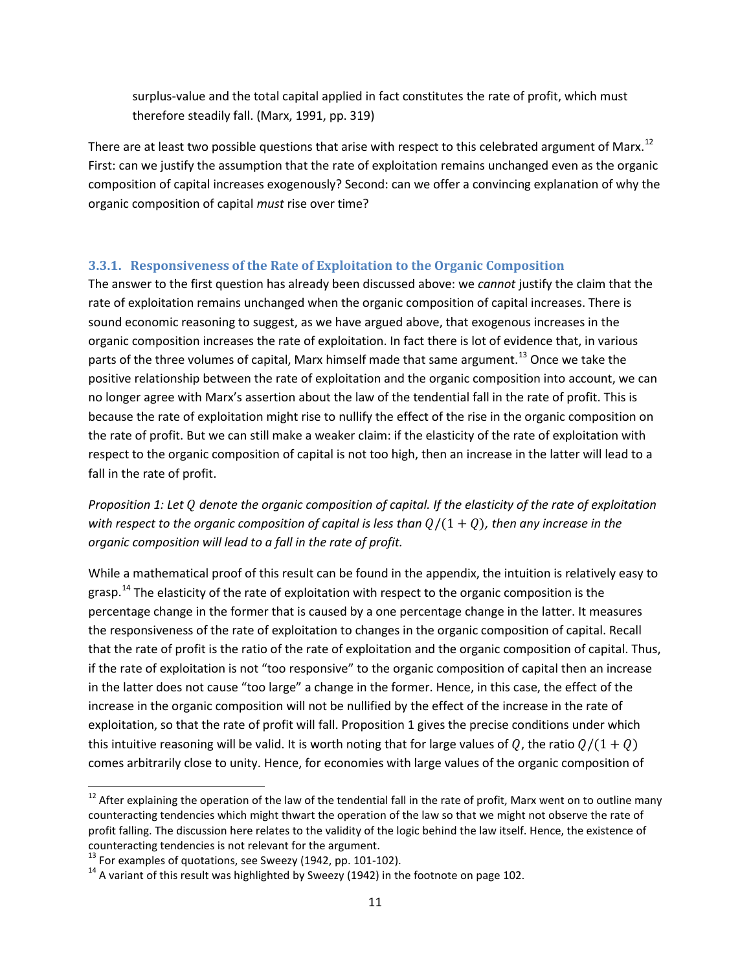surplus-value and the total capital applied in fact constitutes the rate of profit, which must therefore steadily fall. (Marx, 1991, pp. 319)

There are at least two possible questions that arise with respect to this celebrated argument of Marx.<sup>[12](#page-1-7)</sup> First: can we justify the assumption that the rate of exploitation remains unchanged even as the organic composition of capital increases exogenously? Second: can we offer a convincing explanation of why the organic composition of capital *must* rise over time?

## **3.3.1. Responsiveness of the Rate of Exploitation to the Organic Composition**

The answer to the first question has already been discussed above: we *cannot* justify the claim that the rate of exploitation remains unchanged when the organic composition of capital increases. There is sound economic reasoning to suggest, as we have argued above, that exogenous increases in the organic composition increases the rate of exploitation. In fact there is lot of evidence that, in various parts of the three volumes of capital, Marx himself made that same argument.<sup>[13](#page-1-9)</sup> Once we take the positive relationship between the rate of exploitation and the organic composition into account, we can no longer agree with Marx's assertion about the law of the tendential fall in the rate of profit. This is because the rate of exploitation might rise to nullify the effect of the rise in the organic composition on the rate of profit. But we can still make a weaker claim: if the elasticity of the rate of exploitation with respect to the organic composition of capital is not too high, then an increase in the latter will lead to a fall in the rate of profit.

*Proposition 1: Let denote the organic composition of capital. If the elasticity of the rate of exploitation with respect to the organic composition of capital is less than*  $Q/(1 + Q)$ *, then any increase in the organic composition will lead to a fall in the rate of profit.* 

While a mathematical proof of this result can be found in the appendix, the intuition is relatively easy to grasp.<sup>[14](#page-1-10)</sup> The elasticity of the rate of exploitation with respect to the organic composition is the percentage change in the former that is caused by a one percentage change in the latter. It measures the responsiveness of the rate of exploitation to changes in the organic composition of capital. Recall that the rate of profit is the ratio of the rate of exploitation and the organic composition of capital. Thus, if the rate of exploitation is not "too responsive" to the organic composition of capital then an increase in the latter does not cause "too large" a change in the former. Hence, in this case, the effect of the increase in the organic composition will not be nullified by the effect of the increase in the rate of exploitation, so that the rate of profit will fall. Proposition 1 gives the precise conditions under which this intuitive reasoning will be valid. It is worth noting that for large values of Q, the ratio  $Q/(1 + Q)$ comes arbitrarily close to unity. Hence, for economies with large values of the organic composition of

<sup>&</sup>lt;sup>12</sup> After explaining the operation of the law of the tendential fall in the rate of profit, Marx went on to outline many counteracting tendencies which might thwart the operation of the law so that we might not observe the rate of profit falling. The discussion here relates to the validity of the logic behind the law itself. Hence, the existence of counteracting tendencies is not relevant for the argument.<br><sup>13</sup> For examples of quotations, see Sweezy (1942, pp. 101-102).

 $14$  A variant of this result was highlighted by Sweezy (1942) in the footnote on page 102.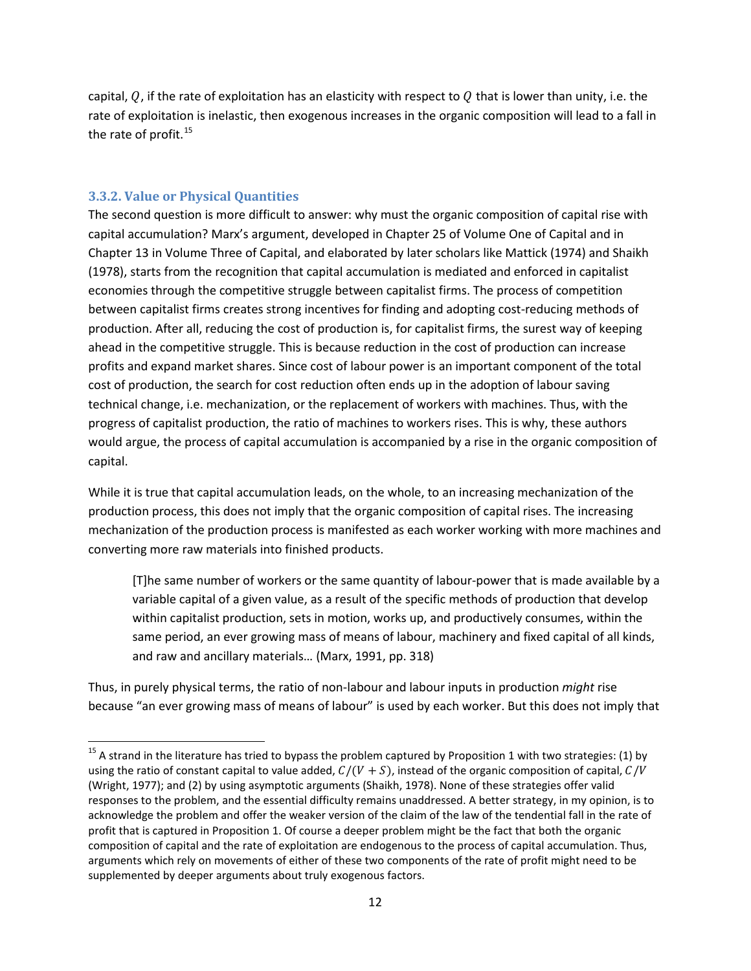capital, Q, if the rate of exploitation has an elasticity with respect to Q that is lower than unity, i.e. the rate of exploitation is inelastic, then exogenous increases in the organic composition will lead to a fall in the rate of profit. $^{15}$  $^{15}$  $^{15}$ 

## **3.3.2. Value or Physical Quantities**

The second question is more difficult to answer: why must the organic composition of capital rise with capital accumulation? Marx's argument, developed in Chapter 25 of Volume One of Capital and in Chapter 13 in Volume Three of Capital, and elaborated by later scholars like Mattick (1974) and Shaikh (1978), starts from the recognition that capital accumulation is mediated and enforced in capitalist economies through the competitive struggle between capitalist firms. The process of competition between capitalist firms creates strong incentives for finding and adopting cost-reducing methods of production. After all, reducing the cost of production is, for capitalist firms, the surest way of keeping ahead in the competitive struggle. This is because reduction in the cost of production can increase profits and expand market shares. Since cost of labour power is an important component of the total cost of production, the search for cost reduction often ends up in the adoption of labour saving technical change, i.e. mechanization, or the replacement of workers with machines. Thus, with the progress of capitalist production, the ratio of machines to workers rises. This is why, these authors would argue, the process of capital accumulation is accompanied by a rise in the organic composition of capital.

While it is true that capital accumulation leads, on the whole, to an increasing mechanization of the production process, this does not imply that the organic composition of capital rises. The increasing mechanization of the production process is manifested as each worker working with more machines and converting more raw materials into finished products.

[T]he same number of workers or the same quantity of labour-power that is made available by a variable capital of a given value, as a result of the specific methods of production that develop within capitalist production, sets in motion, works up, and productively consumes, within the same period, an ever growing mass of means of labour, machinery and fixed capital of all kinds, and raw and ancillary materials… (Marx, 1991, pp. 318)

Thus, in purely physical terms, the ratio of non-labour and labour inputs in production *might* rise because "an ever growing mass of means of labour" is used by each worker. But this does not imply that

 $15$  A strand in the literature has tried to bypass the problem captured by Proposition 1 with two strategies: (1) by using the ratio of constant capital to value added,  $C/(V + S)$ , instead of the organic composition of capital,  $C/V$ (Wright, 1977); and (2) by using asymptotic arguments (Shaikh, 1978). None of these strategies offer valid responses to the problem, and the essential difficulty remains unaddressed. A better strategy, in my opinion, is to acknowledge the problem and offer the weaker version of the claim of the law of the tendential fall in the rate of profit that is captured in Proposition 1. Of course a deeper problem might be the fact that both the organic composition of capital and the rate of exploitation are endogenous to the process of capital accumulation. Thus, arguments which rely on movements of either of these two components of the rate of profit might need to be supplemented by deeper arguments about truly exogenous factors.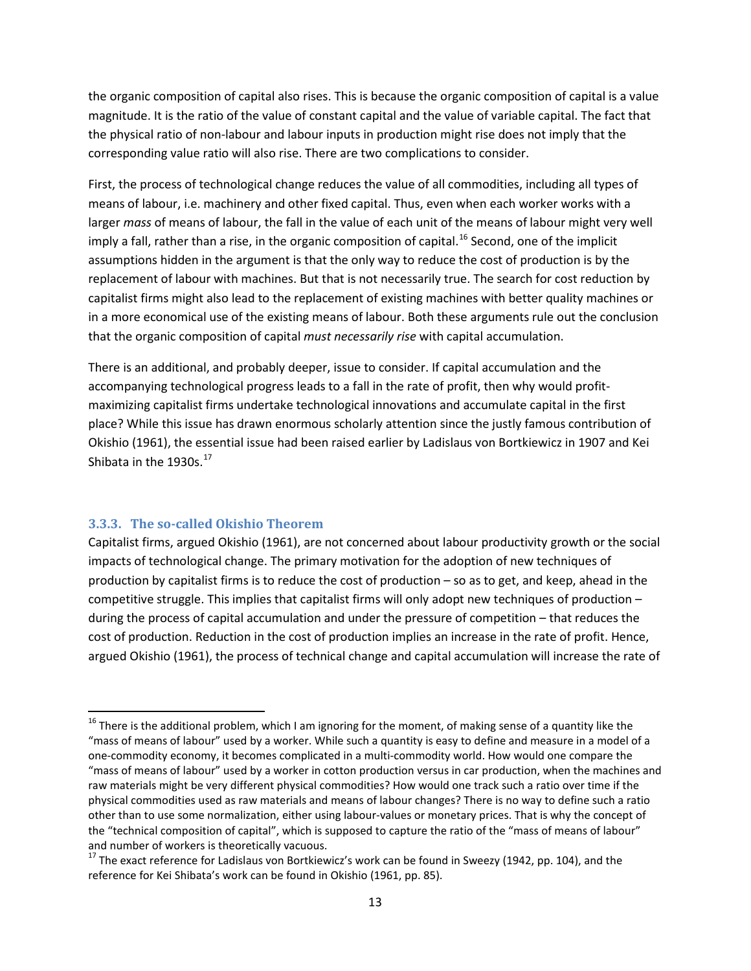the organic composition of capital also rises. This is because the organic composition of capital is a value magnitude. It is the ratio of the value of constant capital and the value of variable capital. The fact that the physical ratio of non-labour and labour inputs in production might rise does not imply that the corresponding value ratio will also rise. There are two complications to consider.

First, the process of technological change reduces the value of all commodities, including all types of means of labour, i.e. machinery and other fixed capital. Thus, even when each worker works with a larger *mass* of means of labour, the fall in the value of each unit of the means of labour might very well imply a fall, rather than a rise, in the organic composition of capital.<sup>[16](#page-1-11)</sup> Second, one of the implicit assumptions hidden in the argument is that the only way to reduce the cost of production is by the replacement of labour with machines. But that is not necessarily true. The search for cost reduction by capitalist firms might also lead to the replacement of existing machines with better quality machines or in a more economical use of the existing means of labour. Both these arguments rule out the conclusion that the organic composition of capital *must necessarily rise* with capital accumulation.

There is an additional, and probably deeper, issue to consider. If capital accumulation and the accompanying technological progress leads to a fall in the rate of profit, then why would profitmaximizing capitalist firms undertake technological innovations and accumulate capital in the first place? While this issue has drawn enormous scholarly attention since the justly famous contribution of Okishio (1961), the essential issue had been raised earlier by Ladislaus von Bortkiewicz in 1907 and Kei Shibata in the  $1930s.<sup>17</sup>$  $1930s.<sup>17</sup>$  $1930s.<sup>17</sup>$ 

#### **3.3.3. The so-called Okishio Theorem**

Capitalist firms, argued Okishio (1961), are not concerned about labour productivity growth or the social impacts of technological change. The primary motivation for the adoption of new techniques of production by capitalist firms is to reduce the cost of production – so as to get, and keep, ahead in the competitive struggle. This implies that capitalist firms will only adopt new techniques of production – during the process of capital accumulation and under the pressure of competition – that reduces the cost of production. Reduction in the cost of production implies an increase in the rate of profit. Hence, argued Okishio (1961), the process of technical change and capital accumulation will increase the rate of

<sup>&</sup>lt;sup>16</sup> There is the additional problem, which I am ignoring for the moment, of making sense of a quantity like the "mass of means of labour" used by a worker. While such a quantity is easy to define and measure in a model of a one-commodity economy, it becomes complicated in a multi-commodity world. How would one compare the "mass of means of labour" used by a worker in cotton production versus in car production, when the machines and raw materials might be very different physical commodities? How would one track such a ratio over time if the physical commodities used as raw materials and means of labour changes? There is no way to define such a ratio other than to use some normalization, either using labour-values or monetary prices. That is why the concept of the "technical composition of capital", which is supposed to capture the ratio of the "mass of means of labour" and number of workers is theoretically vacuous.

 $17$  The exact reference for Ladislaus von Bortkiewicz's work can be found in Sweezy (1942, pp. 104), and the reference for Kei Shibata's work can be found in Okishio (1961, pp. 85).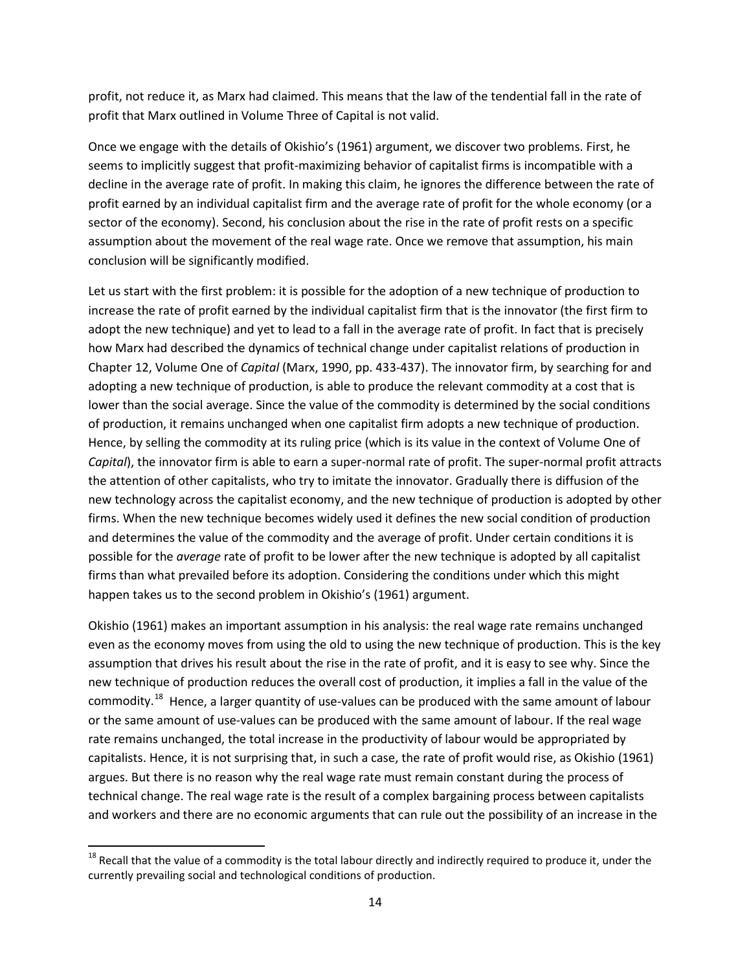profit, not reduce it, as Marx had claimed. This means that the law of the tendential fall in the rate of profit that Marx outlined in Volume Three of Capital is not valid.

Once we engage with the details of Okishio's (1961) argument, we discover two problems. First, he seems to implicitly suggest that profit-maximizing behavior of capitalist firms is incompatible with a decline in the average rate of profit. In making this claim, he ignores the difference between the rate of profit earned by an individual capitalist firm and the average rate of profit for the whole economy (or a sector of the economy). Second, his conclusion about the rise in the rate of profit rests on a specific assumption about the movement of the real wage rate. Once we remove that assumption, his main conclusion will be significantly modified.

Let us start with the first problem: it is possible for the adoption of a new technique of production to increase the rate of profit earned by the individual capitalist firm that is the innovator (the first firm to adopt the new technique) and yet to lead to a fall in the average rate of profit. In fact that is precisely how Marx had described the dynamics of technical change under capitalist relations of production in Chapter 12, Volume One of *Capital* (Marx, 1990, pp. 433-437). The innovator firm, by searching for and adopting a new technique of production, is able to produce the relevant commodity at a cost that is lower than the social average. Since the value of the commodity is determined by the social conditions of production, it remains unchanged when one capitalist firm adopts a new technique of production. Hence, by selling the commodity at its ruling price (which is its value in the context of Volume One of *Capital*), the innovator firm is able to earn a super-normal rate of profit. The super-normal profit attracts the attention of other capitalists, who try to imitate the innovator. Gradually there is diffusion of the new technology across the capitalist economy, and the new technique of production is adopted by other firms. When the new technique becomes widely used it defines the new social condition of production and determines the value of the commodity and the average of profit. Under certain conditions it is possible for the *average* rate of profit to be lower after the new technique is adopted by all capitalist firms than what prevailed before its adoption. Considering the conditions under which this might happen takes us to the second problem in Okishio's (1961) argument.

Okishio (1961) makes an important assumption in his analysis: the real wage rate remains unchanged even as the economy moves from using the old to using the new technique of production. This is the key assumption that drives his result about the rise in the rate of profit, and it is easy to see why. Since the new technique of production reduces the overall cost of production, it implies a fall in the value of the commodity.<sup>[18](#page-1-9)</sup> Hence, a larger quantity of use-values can be produced with the same amount of labour or the same amount of use-values can be produced with the same amount of labour. If the real wage rate remains unchanged, the total increase in the productivity of labour would be appropriated by capitalists. Hence, it is not surprising that, in such a case, the rate of profit would rise, as Okishio (1961) argues. But there is no reason why the real wage rate must remain constant during the process of technical change. The real wage rate is the result of a complex bargaining process between capitalists and workers and there are no economic arguments that can rule out the possibility of an increase in the

 $18$  Recall that the value of a commodity is the total labour directly and indirectly required to produce it, under the currently prevailing social and technological conditions of production.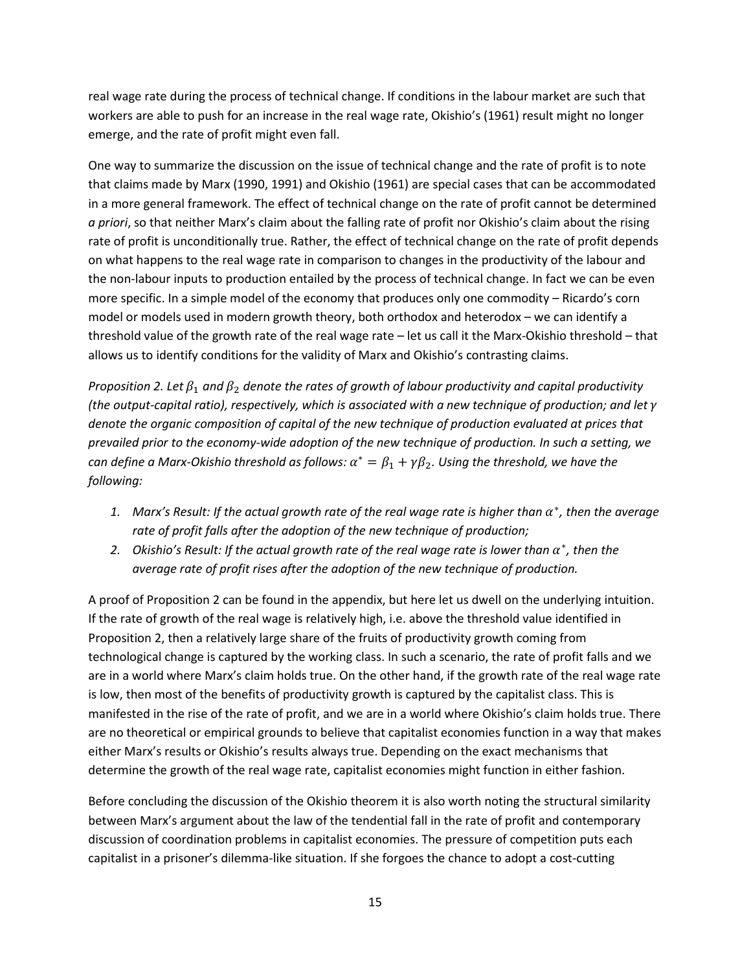real wage rate during the process of technical change. If conditions in the labour market are such that workers are able to push for an increase in the real wage rate, Okishio's (1961) result might no longer emerge, and the rate of profit might even fall.

One way to summarize the discussion on the issue of technical change and the rate of profit is to note that claims made by Marx (1990, 1991) and Okishio (1961) are special cases that can be accommodated in a more general framework. The effect of technical change on the rate of profit cannot be determined *a priori*, so that neither Marx's claim about the falling rate of profit nor Okishio's claim about the rising rate of profit is unconditionally true. Rather, the effect of technical change on the rate of profit depends on what happens to the real wage rate in comparison to changes in the productivity of the labour and the non-labour inputs to production entailed by the process of technical change. In fact we can be even more specific. In a simple model of the economy that produces only one commodity – Ricardo's corn model or models used in modern growth theory, both orthodox and heterodox – we can identify a threshold value of the growth rate of the real wage rate – let us call it the Marx-Okishio threshold – that allows us to identify conditions for the validity of Marx and Okishio's contrasting claims.

*Proposition 2. Let*  $\beta_1$  *and*  $\beta_2$  *denote the rates of growth of labour productivity and capital productivity (the output-capital ratio), respectively, which is associated with a new technique of production; and let denote the organic composition of capital of the new technique of production evaluated at prices that prevailed prior to the economy-wide adoption of the new technique of production. In such a setting, we can define a Marx-Okishio threshold as follows:*  $\alpha^* = \beta_1 + \gamma \beta_2$ . Using the threshold, we have the *following:*

- *1.* Marx's Result: If the actual growth rate of the real wage rate is higher than  $\alpha^*$ , then the average *rate of profit falls after the adoption of the new technique of production;*
- *2. Okishio's Result: If the actual growth rate of the real wage rate is lower than* ∗*, then the average rate of profit rises after the adoption of the new technique of production.*

A proof of Proposition 2 can be found in the appendix, but here let us dwell on the underlying intuition. If the rate of growth of the real wage is relatively high, i.e. above the threshold value identified in Proposition 2, then a relatively large share of the fruits of productivity growth coming from technological change is captured by the working class. In such a scenario, the rate of profit falls and we are in a world where Marx's claim holds true. On the other hand, if the growth rate of the real wage rate is low, then most of the benefits of productivity growth is captured by the capitalist class. This is manifested in the rise of the rate of profit, and we are in a world where Okishio's claim holds true. There are no theoretical or empirical grounds to believe that capitalist economies function in a way that makes either Marx's results or Okishio's results always true. Depending on the exact mechanisms that determine the growth of the real wage rate, capitalist economies might function in either fashion.

Before concluding the discussion of the Okishio theorem it is also worth noting the structural similarity between Marx's argument about the law of the tendential fall in the rate of profit and contemporary discussion of coordination problems in capitalist economies. The pressure of competition puts each capitalist in a prisoner's dilemma-like situation. If she forgoes the chance to adopt a cost-cutting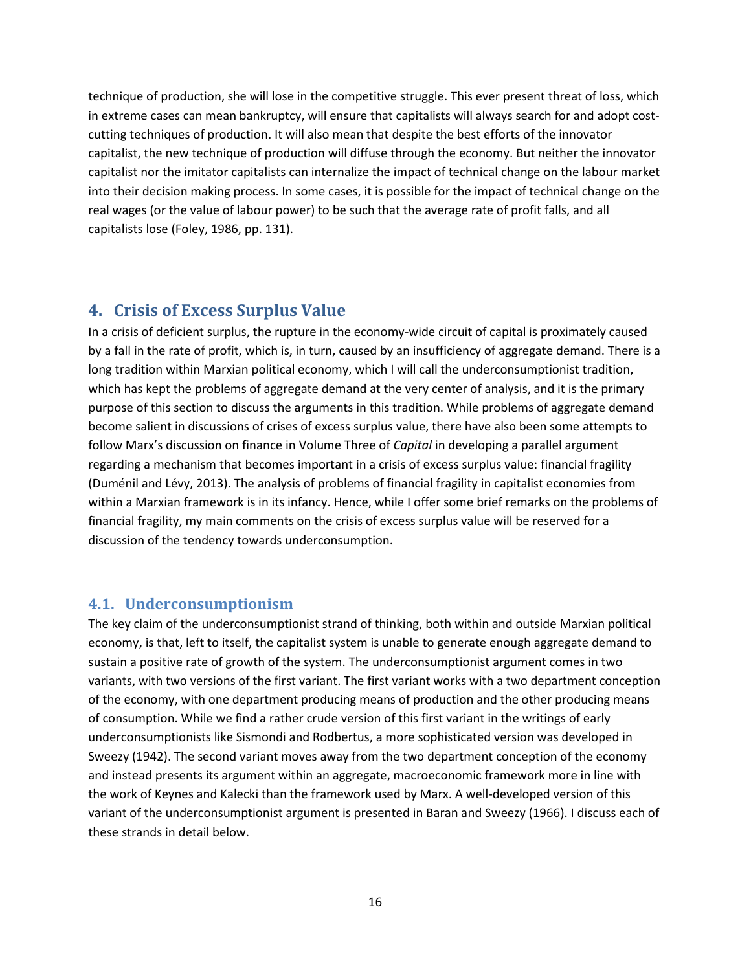technique of production, she will lose in the competitive struggle. This ever present threat of loss, which in extreme cases can mean bankruptcy, will ensure that capitalists will always search for and adopt costcutting techniques of production. It will also mean that despite the best efforts of the innovator capitalist, the new technique of production will diffuse through the economy. But neither the innovator capitalist nor the imitator capitalists can internalize the impact of technical change on the labour market into their decision making process. In some cases, it is possible for the impact of technical change on the real wages (or the value of labour power) to be such that the average rate of profit falls, and all capitalists lose (Foley, 1986, pp. 131).

# **4. Crisis of Excess Surplus Value**

In a crisis of deficient surplus, the rupture in the economy-wide circuit of capital is proximately caused by a fall in the rate of profit, which is, in turn, caused by an insufficiency of aggregate demand. There is a long tradition within Marxian political economy, which I will call the underconsumptionist tradition, which has kept the problems of aggregate demand at the very center of analysis, and it is the primary purpose of this section to discuss the arguments in this tradition. While problems of aggregate demand become salient in discussions of crises of excess surplus value, there have also been some attempts to follow Marx's discussion on finance in Volume Three of *Capital* in developing a parallel argument regarding a mechanism that becomes important in a crisis of excess surplus value: financial fragility (Duménil and Lévy, 2013). The analysis of problems of financial fragility in capitalist economies from within a Marxian framework is in its infancy. Hence, while I offer some brief remarks on the problems of financial fragility, my main comments on the crisis of excess surplus value will be reserved for a discussion of the tendency towards underconsumption.

## **4.1. Underconsumptionism**

The key claim of the underconsumptionist strand of thinking, both within and outside Marxian political economy, is that, left to itself, the capitalist system is unable to generate enough aggregate demand to sustain a positive rate of growth of the system. The underconsumptionist argument comes in two variants, with two versions of the first variant. The first variant works with a two department conception of the economy, with one department producing means of production and the other producing means of consumption. While we find a rather crude version of this first variant in the writings of early underconsumptionists like Sismondi and Rodbertus, a more sophisticated version was developed in Sweezy (1942). The second variant moves away from the two department conception of the economy and instead presents its argument within an aggregate, macroeconomic framework more in line with the work of Keynes and Kalecki than the framework used by Marx. A well-developed version of this variant of the underconsumptionist argument is presented in Baran and Sweezy (1966). I discuss each of these strands in detail below.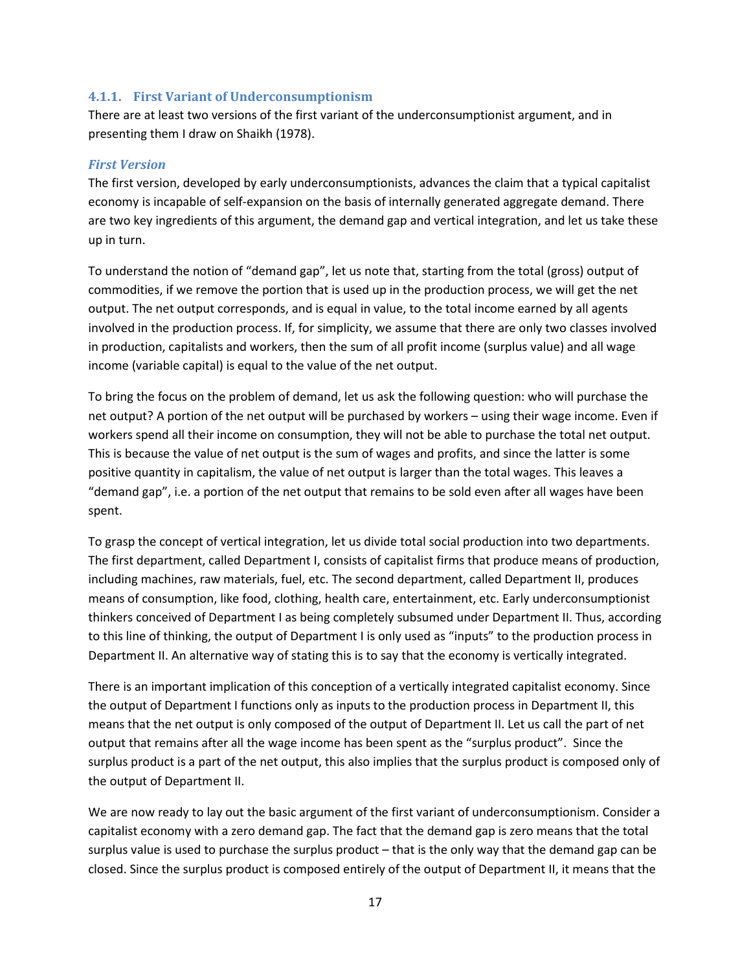## **4.1.1. First Variant of Underconsumptionism**

There are at least two versions of the first variant of the underconsumptionist argument, and in presenting them I draw on Shaikh (1978).

## *First Version*

The first version, developed by early underconsumptionists, advances the claim that a typical capitalist economy is incapable of self-expansion on the basis of internally generated aggregate demand. There are two key ingredients of this argument, the demand gap and vertical integration, and let us take these up in turn.

To understand the notion of "demand gap", let us note that, starting from the total (gross) output of commodities, if we remove the portion that is used up in the production process, we will get the net output. The net output corresponds, and is equal in value, to the total income earned by all agents involved in the production process. If, for simplicity, we assume that there are only two classes involved in production, capitalists and workers, then the sum of all profit income (surplus value) and all wage income (variable capital) is equal to the value of the net output.

To bring the focus on the problem of demand, let us ask the following question: who will purchase the net output? A portion of the net output will be purchased by workers – using their wage income. Even if workers spend all their income on consumption, they will not be able to purchase the total net output. This is because the value of net output is the sum of wages and profits, and since the latter is some positive quantity in capitalism, the value of net output is larger than the total wages. This leaves a "demand gap", i.e. a portion of the net output that remains to be sold even after all wages have been spent.

To grasp the concept of vertical integration, let us divide total social production into two departments. The first department, called Department I, consists of capitalist firms that produce means of production, including machines, raw materials, fuel, etc. The second department, called Department II, produces means of consumption, like food, clothing, health care, entertainment, etc. Early underconsumptionist thinkers conceived of Department I as being completely subsumed under Department II. Thus, according to this line of thinking, the output of Department I is only used as "inputs" to the production process in Department II. An alternative way of stating this is to say that the economy is vertically integrated.

There is an important implication of this conception of a vertically integrated capitalist economy. Since the output of Department I functions only as inputs to the production process in Department II, this means that the net output is only composed of the output of Department II. Let us call the part of net output that remains after all the wage income has been spent as the "surplus product". Since the surplus product is a part of the net output, this also implies that the surplus product is composed only of the output of Department II.

We are now ready to lay out the basic argument of the first variant of underconsumptionism. Consider a capitalist economy with a zero demand gap. The fact that the demand gap is zero means that the total surplus value is used to purchase the surplus product – that is the only way that the demand gap can be closed. Since the surplus product is composed entirely of the output of Department II, it means that the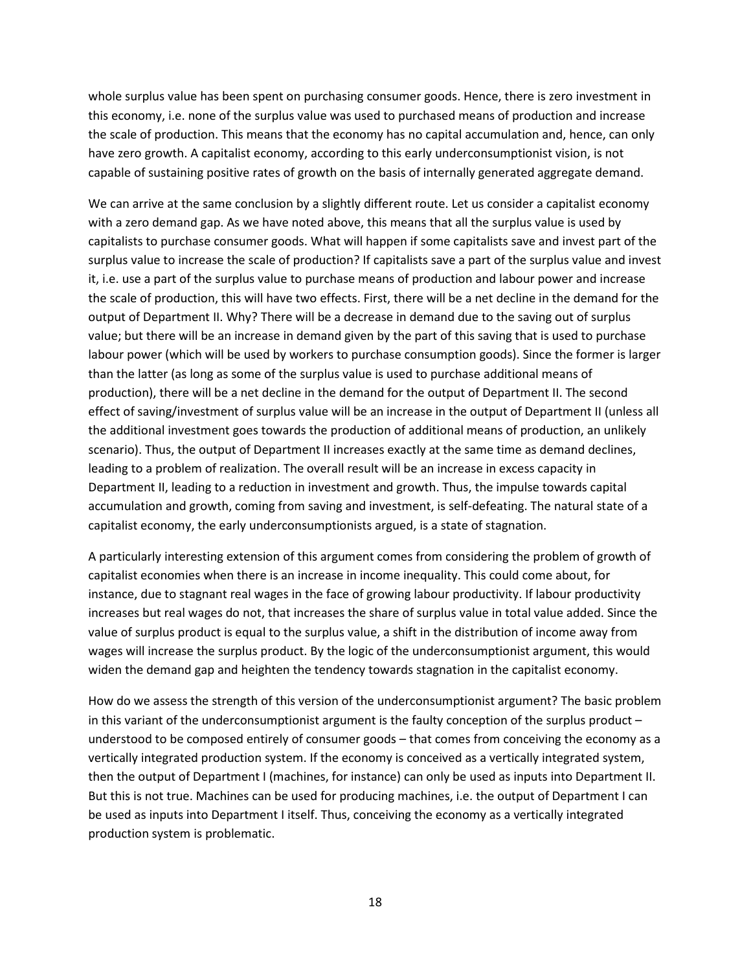whole surplus value has been spent on purchasing consumer goods. Hence, there is zero investment in this economy, i.e. none of the surplus value was used to purchased means of production and increase the scale of production. This means that the economy has no capital accumulation and, hence, can only have zero growth. A capitalist economy, according to this early underconsumptionist vision, is not capable of sustaining positive rates of growth on the basis of internally generated aggregate demand.

We can arrive at the same conclusion by a slightly different route. Let us consider a capitalist economy with a zero demand gap. As we have noted above, this means that all the surplus value is used by capitalists to purchase consumer goods. What will happen if some capitalists save and invest part of the surplus value to increase the scale of production? If capitalists save a part of the surplus value and invest it, i.e. use a part of the surplus value to purchase means of production and labour power and increase the scale of production, this will have two effects. First, there will be a net decline in the demand for the output of Department II. Why? There will be a decrease in demand due to the saving out of surplus value; but there will be an increase in demand given by the part of this saving that is used to purchase labour power (which will be used by workers to purchase consumption goods). Since the former is larger than the latter (as long as some of the surplus value is used to purchase additional means of production), there will be a net decline in the demand for the output of Department II. The second effect of saving/investment of surplus value will be an increase in the output of Department II (unless all the additional investment goes towards the production of additional means of production, an unlikely scenario). Thus, the output of Department II increases exactly at the same time as demand declines, leading to a problem of realization. The overall result will be an increase in excess capacity in Department II, leading to a reduction in investment and growth. Thus, the impulse towards capital accumulation and growth, coming from saving and investment, is self-defeating. The natural state of a capitalist economy, the early underconsumptionists argued, is a state of stagnation.

A particularly interesting extension of this argument comes from considering the problem of growth of capitalist economies when there is an increase in income inequality. This could come about, for instance, due to stagnant real wages in the face of growing labour productivity. If labour productivity increases but real wages do not, that increases the share of surplus value in total value added. Since the value of surplus product is equal to the surplus value, a shift in the distribution of income away from wages will increase the surplus product. By the logic of the underconsumptionist argument, this would widen the demand gap and heighten the tendency towards stagnation in the capitalist economy.

How do we assess the strength of this version of the underconsumptionist argument? The basic problem in this variant of the underconsumptionist argument is the faulty conception of the surplus product – understood to be composed entirely of consumer goods – that comes from conceiving the economy as a vertically integrated production system. If the economy is conceived as a vertically integrated system, then the output of Department I (machines, for instance) can only be used as inputs into Department II. But this is not true. Machines can be used for producing machines, i.e. the output of Department I can be used as inputs into Department I itself. Thus, conceiving the economy as a vertically integrated production system is problematic.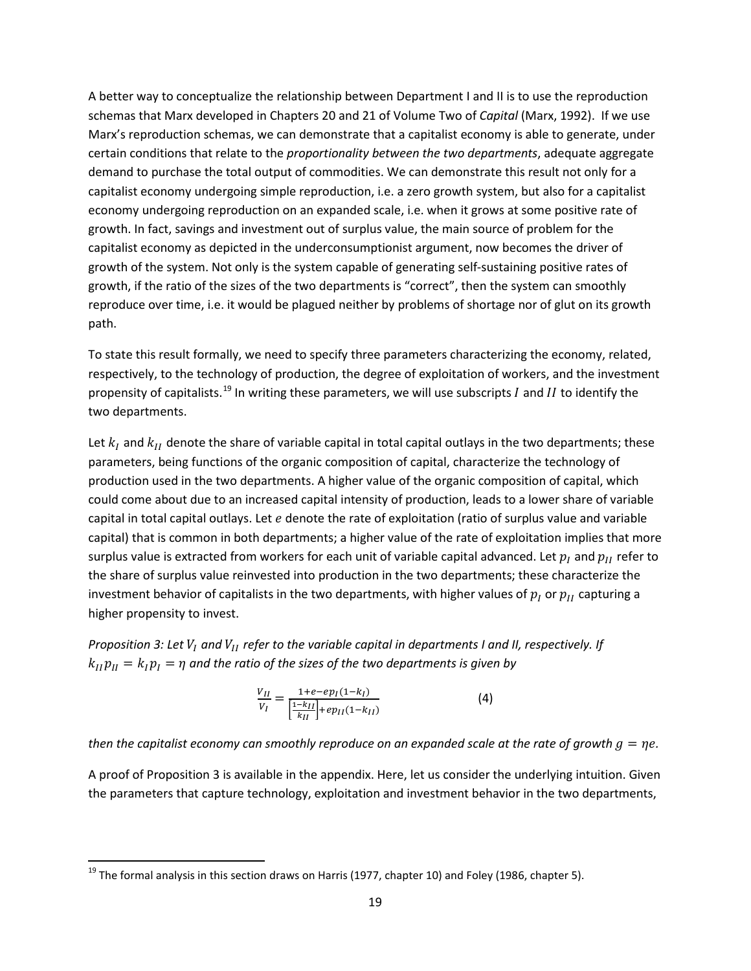A better way to conceptualize the relationship between Department I and II is to use the reproduction schemas that Marx developed in Chapters 20 and 21 of Volume Two of *Capital* (Marx, 1992). If we use Marx's reproduction schemas, we can demonstrate that a capitalist economy is able to generate, under certain conditions that relate to the *proportionality between the two departments*, adequate aggregate demand to purchase the total output of commodities. We can demonstrate this result not only for a capitalist economy undergoing simple reproduction, i.e. a zero growth system, but also for a capitalist economy undergoing reproduction on an expanded scale, i.e. when it grows at some positive rate of growth. In fact, savings and investment out of surplus value, the main source of problem for the capitalist economy as depicted in the underconsumptionist argument, now becomes the driver of growth of the system. Not only is the system capable of generating self-sustaining positive rates of growth, if the ratio of the sizes of the two departments is "correct", then the system can smoothly reproduce over time, i.e. it would be plagued neither by problems of shortage nor of glut on its growth path.

To state this result formally, we need to specify three parameters characterizing the economy, related, respectively, to the technology of production, the degree of exploitation of workers, and the investment propensity of capitalists.<sup>[19](#page-1-10)</sup> In writing these parameters, we will use subscripts  $I$  and  $II$  to identify the two departments.

Let  $k_I$  and  $k_{II}$  denote the share of variable capital in total capital outlays in the two departments; these parameters, being functions of the organic composition of capital, characterize the technology of production used in the two departments. A higher value of the organic composition of capital, which could come about due to an increased capital intensity of production, leads to a lower share of variable capital in total capital outlays. Let e denote the rate of exploitation (ratio of surplus value and variable capital) that is common in both departments; a higher value of the rate of exploitation implies that more surplus value is extracted from workers for each unit of variable capital advanced. Let  $p_I$  and  $p_{II}$  refer to the share of surplus value reinvested into production in the two departments; these characterize the investment behavior of capitalists in the two departments, with higher values of  $p_I$  or  $p_{II}$  capturing a higher propensity to invest.

*Proposition 3: Let*  $V_I$  *and*  $V_{II}$  *refer to the variable capital in departments I and II, respectively. If*  $k_{II}p_{II} = k_I p_I = \eta$  and the ratio of the sizes of the two departments is given by

$$
\frac{V_{II}}{V_I} = \frac{1 + e - ep_I(1 - k_I)}{\left[\frac{1 - k_{II}}{k_{II}}\right] + ep_{II}(1 - k_{II})}
$$
(4)

*then the capitalist economy can smoothly reproduce on an expanded scale at the rate of growth*  $g = \eta e$ *.* 

A proof of Proposition 3 is available in the appendix. Here, let us consider the underlying intuition. Given the parameters that capture technology, exploitation and investment behavior in the two departments,

 $^{19}$  The formal analysis in this section draws on Harris (1977, chapter 10) and Foley (1986, chapter 5).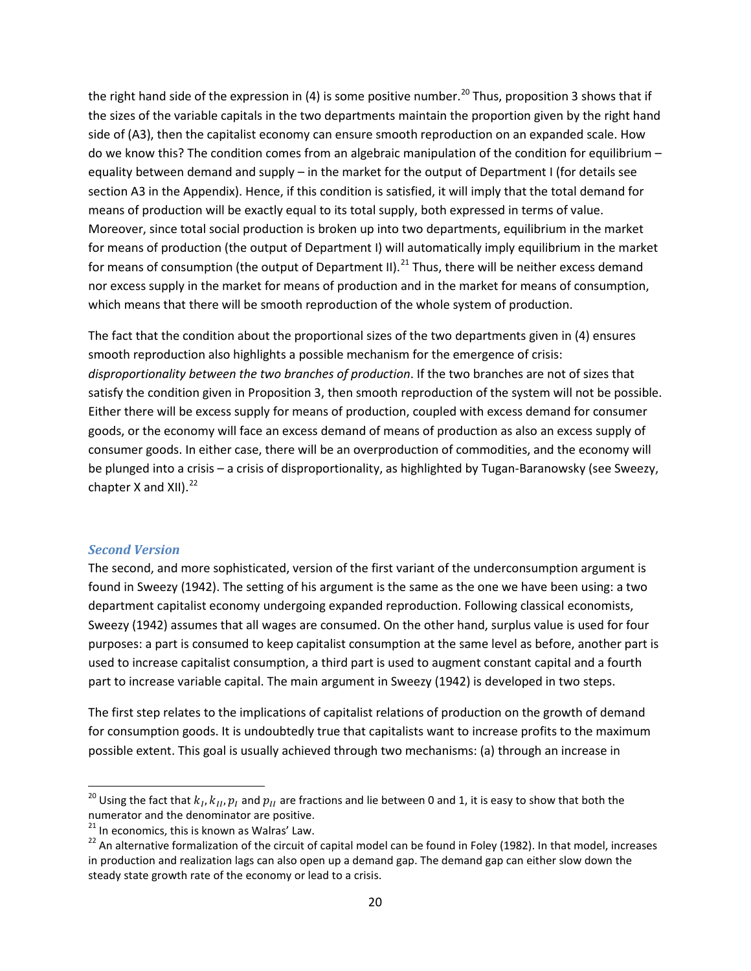the right hand side of the expression in (4) is some positive number.<sup>[20](#page-1-7)</sup> Thus, proposition 3 shows that if the sizes of the variable capitals in the two departments maintain the proportion given by the right hand side of (A3), then the capitalist economy can ensure smooth reproduction on an expanded scale. How do we know this? The condition comes from an algebraic manipulation of the condition for equilibrium – equality between demand and supply – in the market for the output of Department I (for details see section A3 in the Appendix). Hence, if this condition is satisfied, it will imply that the total demand for means of production will be exactly equal to its total supply, both expressed in terms of value. Moreover, since total social production is broken up into two departments, equilibrium in the market for means of production (the output of Department I) will automatically imply equilibrium in the market for means of consumption (the output of Department II).<sup>[21](#page-1-6)</sup> Thus, there will be neither excess demand nor excess supply in the market for means of production and in the market for means of consumption, which means that there will be smooth reproduction of the whole system of production.

The fact that the condition about the proportional sizes of the two departments given in (4) ensures smooth reproduction also highlights a possible mechanism for the emergence of crisis: *disproportionality between the two branches of production*. If the two branches are not of sizes that satisfy the condition given in Proposition 3, then smooth reproduction of the system will not be possible. Either there will be excess supply for means of production, coupled with excess demand for consumer goods, or the economy will face an excess demand of means of production as also an excess supply of consumer goods. In either case, there will be an overproduction of commodities, and the economy will be plunged into a crisis – a crisis of disproportionality, as highlighted by Tugan-Baranowsky (see Sweezy, chapter X and XII). $^{22}$  $^{22}$  $^{22}$ 

#### *Second Version*

The second, and more sophisticated, version of the first variant of the underconsumption argument is found in Sweezy (1942). The setting of his argument is the same as the one we have been using: a two department capitalist economy undergoing expanded reproduction. Following classical economists, Sweezy (1942) assumes that all wages are consumed. On the other hand, surplus value is used for four purposes: a part is consumed to keep capitalist consumption at the same level as before, another part is used to increase capitalist consumption, a third part is used to augment constant capital and a fourth part to increase variable capital. The main argument in Sweezy (1942) is developed in two steps.

The first step relates to the implications of capitalist relations of production on the growth of demand for consumption goods. It is undoubtedly true that capitalists want to increase profits to the maximum possible extent. This goal is usually achieved through two mechanisms: (a) through an increase in

<sup>&</sup>lt;sup>20</sup> Using the fact that  $k_1, k_{II}, p_I$  and  $p_{II}$  are fractions and lie between 0 and 1, it is easy to show that both the numerator and the denominator are positive.<br><sup>21</sup> In economics, this is known as Walras' Law.

<sup>&</sup>lt;sup>22</sup> An alternative formalization of the circuit of capital model can be found in Foley (1982). In that model, increases in production and realization lags can also open up a demand gap. The demand gap can either slow down the steady state growth rate of the economy or lead to a crisis.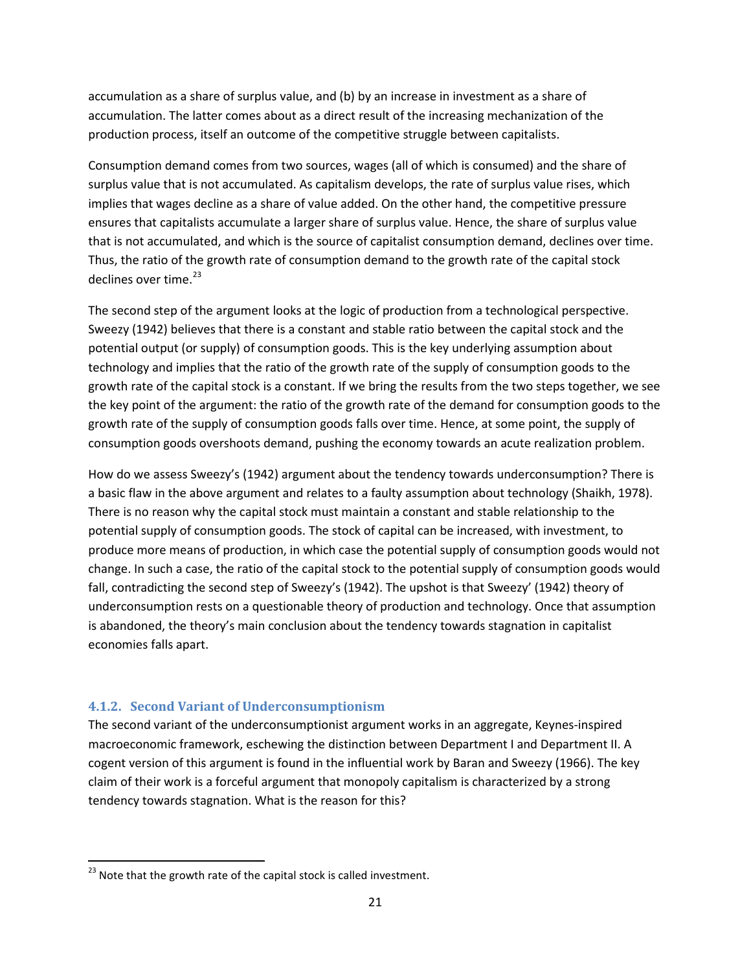accumulation as a share of surplus value, and (b) by an increase in investment as a share of accumulation. The latter comes about as a direct result of the increasing mechanization of the production process, itself an outcome of the competitive struggle between capitalists.

Consumption demand comes from two sources, wages (all of which is consumed) and the share of surplus value that is not accumulated. As capitalism develops, the rate of surplus value rises, which implies that wages decline as a share of value added. On the other hand, the competitive pressure ensures that capitalists accumulate a larger share of surplus value. Hence, the share of surplus value that is not accumulated, and which is the source of capitalist consumption demand, declines over time. Thus, the ratio of the growth rate of consumption demand to the growth rate of the capital stock declines over time. $23$ 

The second step of the argument looks at the logic of production from a technological perspective. Sweezy (1942) believes that there is a constant and stable ratio between the capital stock and the potential output (or supply) of consumption goods. This is the key underlying assumption about technology and implies that the ratio of the growth rate of the supply of consumption goods to the growth rate of the capital stock is a constant. If we bring the results from the two steps together, we see the key point of the argument: the ratio of the growth rate of the demand for consumption goods to the growth rate of the supply of consumption goods falls over time. Hence, at some point, the supply of consumption goods overshoots demand, pushing the economy towards an acute realization problem.

How do we assess Sweezy's (1942) argument about the tendency towards underconsumption? There is a basic flaw in the above argument and relates to a faulty assumption about technology (Shaikh, 1978). There is no reason why the capital stock must maintain a constant and stable relationship to the potential supply of consumption goods. The stock of capital can be increased, with investment, to produce more means of production, in which case the potential supply of consumption goods would not change. In such a case, the ratio of the capital stock to the potential supply of consumption goods would fall, contradicting the second step of Sweezy's (1942). The upshot is that Sweezy' (1942) theory of underconsumption rests on a questionable theory of production and technology. Once that assumption is abandoned, the theory's main conclusion about the tendency towards stagnation in capitalist economies falls apart.

## **4.1.2. Second Variant of Underconsumptionism**

The second variant of the underconsumptionist argument works in an aggregate, Keynes-inspired macroeconomic framework, eschewing the distinction between Department I and Department II. A cogent version of this argument is found in the influential work by Baran and Sweezy (1966). The key claim of their work is a forceful argument that monopoly capitalism is characterized by a strong tendency towards stagnation. What is the reason for this?

<sup>&</sup>lt;sup>23</sup> Note that the growth rate of the capital stock is called investment.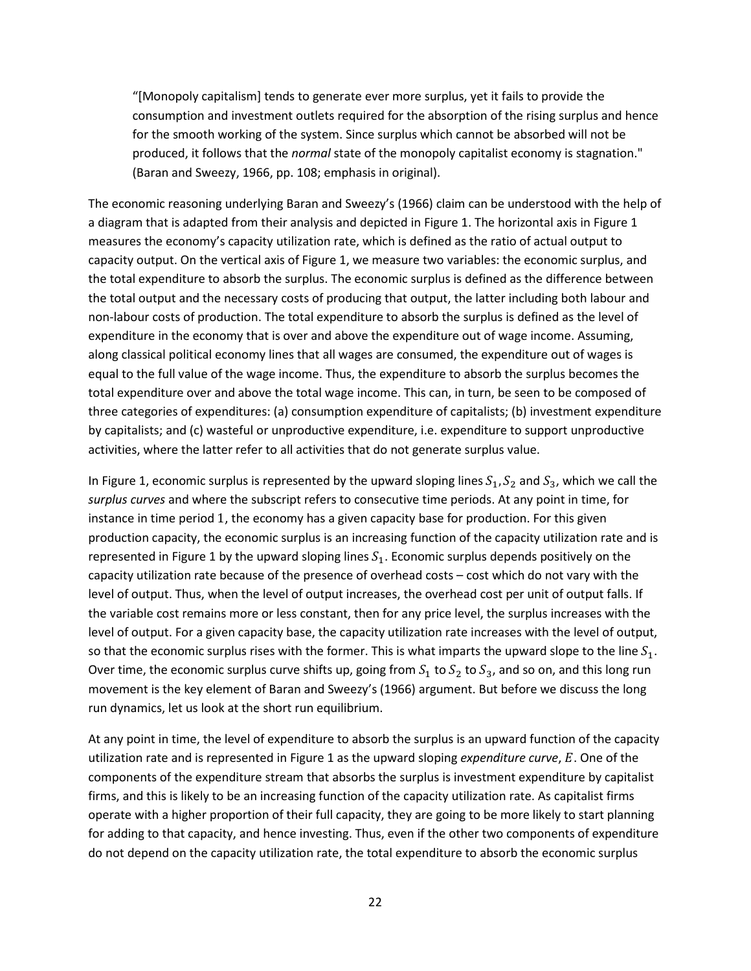"[Monopoly capitalism] tends to generate ever more surplus, yet it fails to provide the consumption and investment outlets required for the absorption of the rising surplus and hence for the smooth working of the system. Since surplus which cannot be absorbed will not be produced, it follows that the *normal* state of the monopoly capitalist economy is stagnation." (Baran and Sweezy, 1966, pp. 108; emphasis in original).

The economic reasoning underlying Baran and Sweezy's (1966) claim can be understood with the help of a diagram that is adapted from their analysis and depicted in Figure 1. The horizontal axis in Figure 1 measures the economy's capacity utilization rate, which is defined as the ratio of actual output to capacity output. On the vertical axis of Figure 1, we measure two variables: the economic surplus, and the total expenditure to absorb the surplus. The economic surplus is defined as the difference between the total output and the necessary costs of producing that output, the latter including both labour and non-labour costs of production. The total expenditure to absorb the surplus is defined as the level of expenditure in the economy that is over and above the expenditure out of wage income. Assuming, along classical political economy lines that all wages are consumed, the expenditure out of wages is equal to the full value of the wage income. Thus, the expenditure to absorb the surplus becomes the total expenditure over and above the total wage income. This can, in turn, be seen to be composed of three categories of expenditures: (a) consumption expenditure of capitalists; (b) investment expenditure by capitalists; and (c) wasteful or unproductive expenditure, i.e. expenditure to support unproductive activities, where the latter refer to all activities that do not generate surplus value.

In Figure 1, economic surplus is represented by the upward sloping lines  $S_1, S_2$  and  $S_3$ , which we call the *surplus curves* and where the subscript refers to consecutive time periods. At any point in time, for instance in time period 1, the economy has a given capacity base for production. For this given production capacity, the economic surplus is an increasing function of the capacity utilization rate and is represented in Figure 1 by the upward sloping lines  $S_1$ . Economic surplus depends positively on the capacity utilization rate because of the presence of overhead costs – cost which do not vary with the level of output. Thus, when the level of output increases, the overhead cost per unit of output falls. If the variable cost remains more or less constant, then for any price level, the surplus increases with the level of output. For a given capacity base, the capacity utilization rate increases with the level of output, so that the economic surplus rises with the former. This is what imparts the upward slope to the line  $S_1$ . Over time, the economic surplus curve shifts up, going from  $S_1$  to  $S_2$  to  $S_3$ , and so on, and this long run movement is the key element of Baran and Sweezy's (1966) argument. But before we discuss the long run dynamics, let us look at the short run equilibrium.

At any point in time, the level of expenditure to absorb the surplus is an upward function of the capacity utilization rate and is represented in Figure 1 as the upward sloping *expenditure curve*, E. One of the components of the expenditure stream that absorbs the surplus is investment expenditure by capitalist firms, and this is likely to be an increasing function of the capacity utilization rate. As capitalist firms operate with a higher proportion of their full capacity, they are going to be more likely to start planning for adding to that capacity, and hence investing. Thus, even if the other two components of expenditure do not depend on the capacity utilization rate, the total expenditure to absorb the economic surplus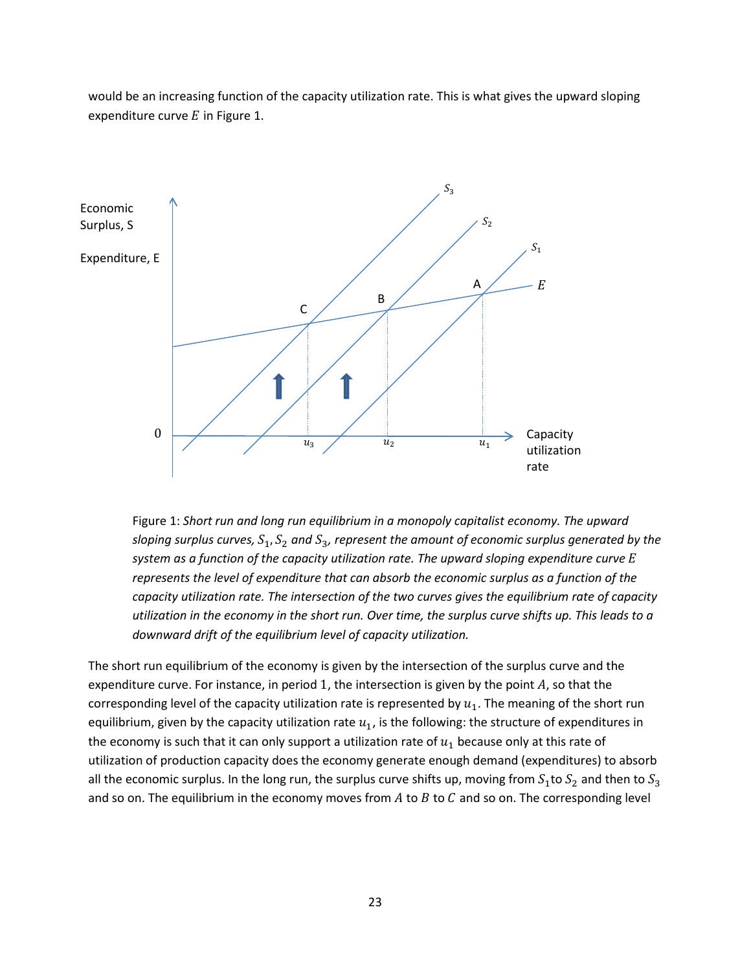would be an increasing function of the capacity utilization rate. This is what gives the upward sloping expenditure curve  $E$  in Figure 1.



Figure 1: *Short run and long run equilibrium in a monopoly capitalist economy. The upward sloping surplus curves,* 1, 2 *and* 3*, represent the amount of economic surplus generated by the system as a function of the capacity utilization rate. The upward sloping expenditure curve represents the level of expenditure that can absorb the economic surplus as a function of the capacity utilization rate. The intersection of the two curves gives the equilibrium rate of capacity utilization in the economy in the short run. Over time, the surplus curve shifts up. This leads to a downward drift of the equilibrium level of capacity utilization.*

The short run equilibrium of the economy is given by the intersection of the surplus curve and the expenditure curve. For instance, in period 1, the intersection is given by the point  $A$ , so that the corresponding level of the capacity utilization rate is represented by  $u_1$ . The meaning of the short run equilibrium, given by the capacity utilization rate  $u_1$ , is the following: the structure of expenditures in the economy is such that it can only support a utilization rate of  $u_1$  because only at this rate of utilization of production capacity does the economy generate enough demand (expenditures) to absorb all the economic surplus. In the long run, the surplus curve shifts up, moving from  $S_1$  to  $S_2$  and then to  $S_3$ and so on. The equilibrium in the economy moves from  $A$  to  $B$  to  $C$  and so on. The corresponding level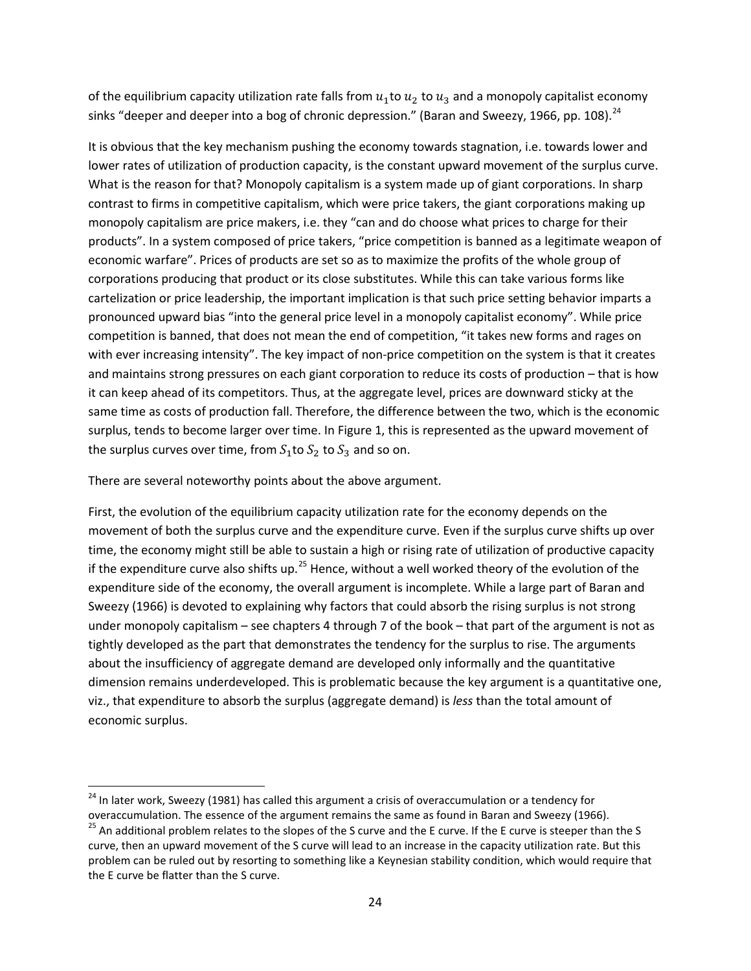of the equilibrium capacity utilization rate falls from  $u_1$  to  $u_2$  to  $u_3$  and a monopoly capitalist economy sinks "deeper and deeper into a bog of chronic depression." (Baran and Sweezy, 1966, pp. 108).  $^{24}$  $^{24}$  $^{24}$ 

It is obvious that the key mechanism pushing the economy towards stagnation, i.e. towards lower and lower rates of utilization of production capacity, is the constant upward movement of the surplus curve. What is the reason for that? Monopoly capitalism is a system made up of giant corporations. In sharp contrast to firms in competitive capitalism, which were price takers, the giant corporations making up monopoly capitalism are price makers, i.e. they "can and do choose what prices to charge for their products". In a system composed of price takers, "price competition is banned as a legitimate weapon of economic warfare". Prices of products are set so as to maximize the profits of the whole group of corporations producing that product or its close substitutes. While this can take various forms like cartelization or price leadership, the important implication is that such price setting behavior imparts a pronounced upward bias "into the general price level in a monopoly capitalist economy". While price competition is banned, that does not mean the end of competition, "it takes new forms and rages on with ever increasing intensity". The key impact of non-price competition on the system is that it creates and maintains strong pressures on each giant corporation to reduce its costs of production – that is how it can keep ahead of its competitors. Thus, at the aggregate level, prices are downward sticky at the same time as costs of production fall. Therefore, the difference between the two, which is the economic surplus, tends to become larger over time. In Figure 1, this is represented as the upward movement of the surplus curves over time, from  $S_1$  to  $S_2$  to  $S_3$  and so on.

There are several noteworthy points about the above argument.

First, the evolution of the equilibrium capacity utilization rate for the economy depends on the movement of both the surplus curve and the expenditure curve. Even if the surplus curve shifts up over time, the economy might still be able to sustain a high or rising rate of utilization of productive capacity if the expenditure curve also shifts up.<sup>[25](#page-1-6)</sup> Hence, without a well worked theory of the evolution of the expenditure side of the economy, the overall argument is incomplete. While a large part of Baran and Sweezy (1966) is devoted to explaining why factors that could absorb the rising surplus is not strong under monopoly capitalism – see chapters 4 through 7 of the book – that part of the argument is not as tightly developed as the part that demonstrates the tendency for the surplus to rise. The arguments about the insufficiency of aggregate demand are developed only informally and the quantitative dimension remains underdeveloped. This is problematic because the key argument is a quantitative one, viz., that expenditure to absorb the surplus (aggregate demand) is *less* than the total amount of economic surplus.

<sup>&</sup>lt;sup>24</sup> In later work, Sweezy (1981) has called this argument a crisis of overaccumulation or a tendency for overaccumulation. The essence of the argument remains the same as found in Baran and Sweezy (1966).

 $25$  An additional problem relates to the slopes of the S curve and the E curve. If the E curve is steeper than the S curve, then an upward movement of the S curve will lead to an increase in the capacity utilization rate. But this problem can be ruled out by resorting to something like a Keynesian stability condition, which would require that the E curve be flatter than the S curve.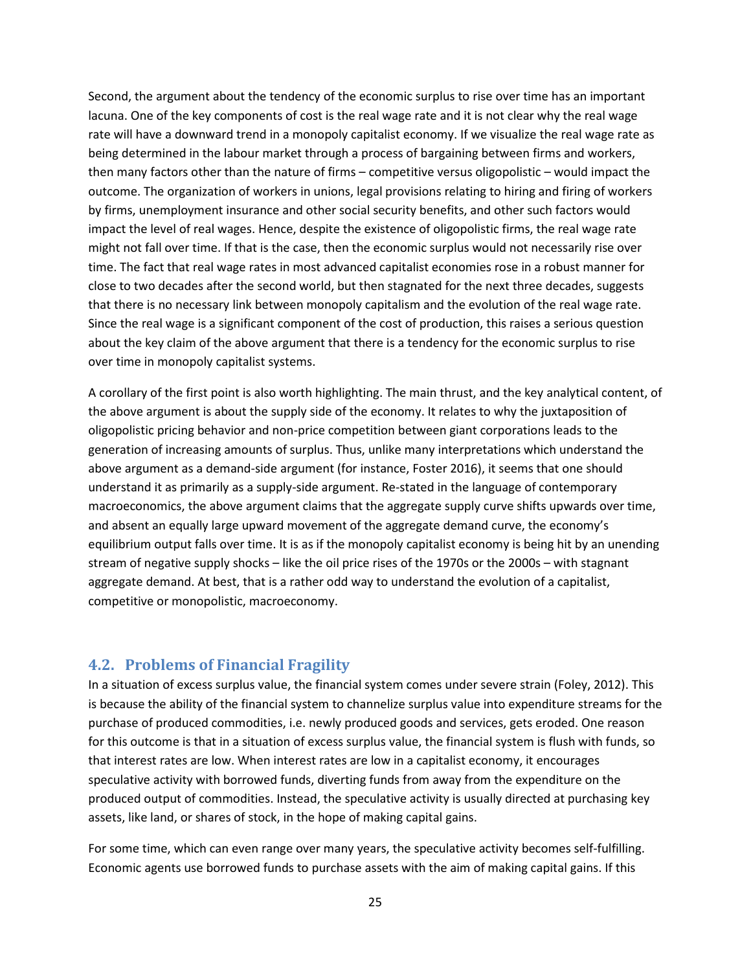Second, the argument about the tendency of the economic surplus to rise over time has an important lacuna. One of the key components of cost is the real wage rate and it is not clear why the real wage rate will have a downward trend in a monopoly capitalist economy. If we visualize the real wage rate as being determined in the labour market through a process of bargaining between firms and workers, then many factors other than the nature of firms – competitive versus oligopolistic – would impact the outcome. The organization of workers in unions, legal provisions relating to hiring and firing of workers by firms, unemployment insurance and other social security benefits, and other such factors would impact the level of real wages. Hence, despite the existence of oligopolistic firms, the real wage rate might not fall over time. If that is the case, then the economic surplus would not necessarily rise over time. The fact that real wage rates in most advanced capitalist economies rose in a robust manner for close to two decades after the second world, but then stagnated for the next three decades, suggests that there is no necessary link between monopoly capitalism and the evolution of the real wage rate. Since the real wage is a significant component of the cost of production, this raises a serious question about the key claim of the above argument that there is a tendency for the economic surplus to rise over time in monopoly capitalist systems.

A corollary of the first point is also worth highlighting. The main thrust, and the key analytical content, of the above argument is about the supply side of the economy. It relates to why the juxtaposition of oligopolistic pricing behavior and non-price competition between giant corporations leads to the generation of increasing amounts of surplus. Thus, unlike many interpretations which understand the above argument as a demand-side argument (for instance, Foster 2016), it seems that one should understand it as primarily as a supply-side argument. Re-stated in the language of contemporary macroeconomics, the above argument claims that the aggregate supply curve shifts upwards over time, and absent an equally large upward movement of the aggregate demand curve, the economy's equilibrium output falls over time. It is as if the monopoly capitalist economy is being hit by an unending stream of negative supply shocks – like the oil price rises of the 1970s or the 2000s – with stagnant aggregate demand. At best, that is a rather odd way to understand the evolution of a capitalist, competitive or monopolistic, macroeconomy.

## **4.2. Problems of Financial Fragility**

In a situation of excess surplus value, the financial system comes under severe strain (Foley, 2012). This is because the ability of the financial system to channelize surplus value into expenditure streams for the purchase of produced commodities, i.e. newly produced goods and services, gets eroded. One reason for this outcome is that in a situation of excess surplus value, the financial system is flush with funds, so that interest rates are low. When interest rates are low in a capitalist economy, it encourages speculative activity with borrowed funds, diverting funds from away from the expenditure on the produced output of commodities. Instead, the speculative activity is usually directed at purchasing key assets, like land, or shares of stock, in the hope of making capital gains.

For some time, which can even range over many years, the speculative activity becomes self-fulfilling. Economic agents use borrowed funds to purchase assets with the aim of making capital gains. If this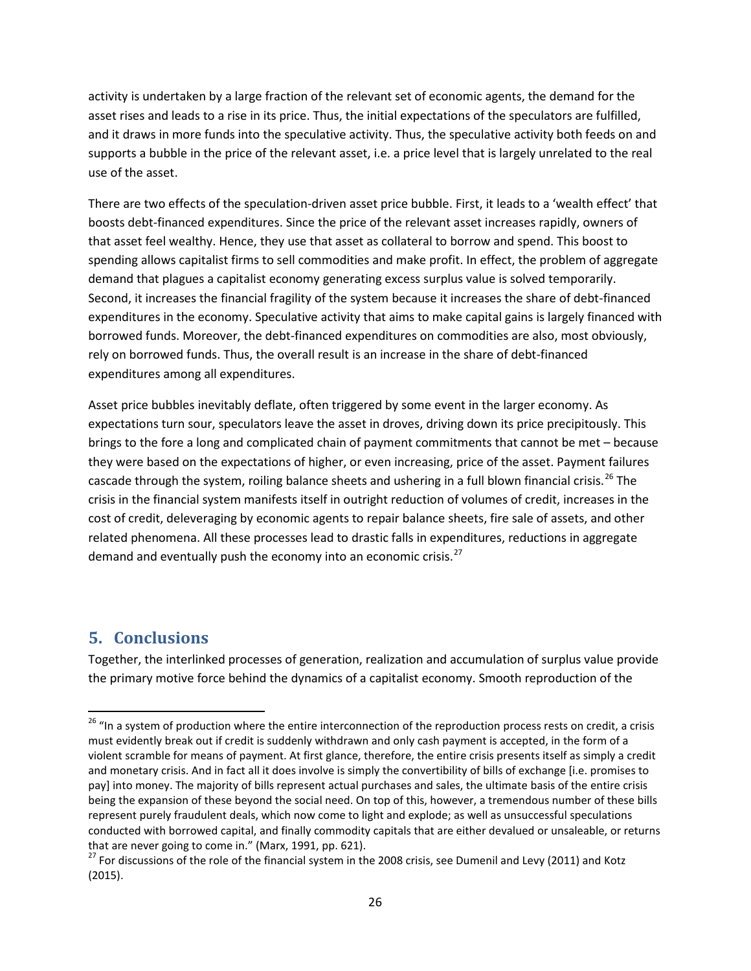activity is undertaken by a large fraction of the relevant set of economic agents, the demand for the asset rises and leads to a rise in its price. Thus, the initial expectations of the speculators are fulfilled, and it draws in more funds into the speculative activity. Thus, the speculative activity both feeds on and supports a bubble in the price of the relevant asset, i.e. a price level that is largely unrelated to the real use of the asset.

There are two effects of the speculation-driven asset price bubble. First, it leads to a 'wealth effect' that boosts debt-financed expenditures. Since the price of the relevant asset increases rapidly, owners of that asset feel wealthy. Hence, they use that asset as collateral to borrow and spend. This boost to spending allows capitalist firms to sell commodities and make profit. In effect, the problem of aggregate demand that plagues a capitalist economy generating excess surplus value is solved temporarily. Second, it increases the financial fragility of the system because it increases the share of debt-financed expenditures in the economy. Speculative activity that aims to make capital gains is largely financed with borrowed funds. Moreover, the debt-financed expenditures on commodities are also, most obviously, rely on borrowed funds. Thus, the overall result is an increase in the share of debt-financed expenditures among all expenditures.

Asset price bubbles inevitably deflate, often triggered by some event in the larger economy. As expectations turn sour, speculators leave the asset in droves, driving down its price precipitously. This brings to the fore a long and complicated chain of payment commitments that cannot be met – because they were based on the expectations of higher, or even increasing, price of the asset. Payment failures cascade through the system, roiling balance sheets and ushering in a full blown financial crisis.<sup>[26](#page-1-11)</sup> The crisis in the financial system manifests itself in outright reduction of volumes of credit, increases in the cost of credit, deleveraging by economic agents to repair balance sheets, fire sale of assets, and other related phenomena. All these processes lead to drastic falls in expenditures, reductions in aggregate demand and eventually push the economy into an economic crisis. $^{27}$  $^{27}$  $^{27}$ 

# **5. Conclusions**

Together, the interlinked processes of generation, realization and accumulation of surplus value provide the primary motive force behind the dynamics of a capitalist economy. Smooth reproduction of the

<sup>&</sup>lt;sup>26</sup> "In a system of production where the entire interconnection of the reproduction process rests on credit, a crisis must evidently break out if credit is suddenly withdrawn and only cash payment is accepted, in the form of a violent scramble for means of payment. At first glance, therefore, the entire crisis presents itself as simply a credit and monetary crisis. And in fact all it does involve is simply the convertibility of bills of exchange [i.e. promises to pay] into money. The majority of bills represent actual purchases and sales, the ultimate basis of the entire crisis being the expansion of these beyond the social need. On top of this, however, a tremendous number of these bills represent purely fraudulent deals, which now come to light and explode; as well as unsuccessful speculations conducted with borrowed capital, and finally commodity capitals that are either devalued or unsaleable, or returns

that are never going to come in." (Marx, 1991, pp. 621).<br><sup>27</sup> For discussions of the role of the financial system in the 2008 crisis, see Dumenil and Levy (2011) and Kotz (2015).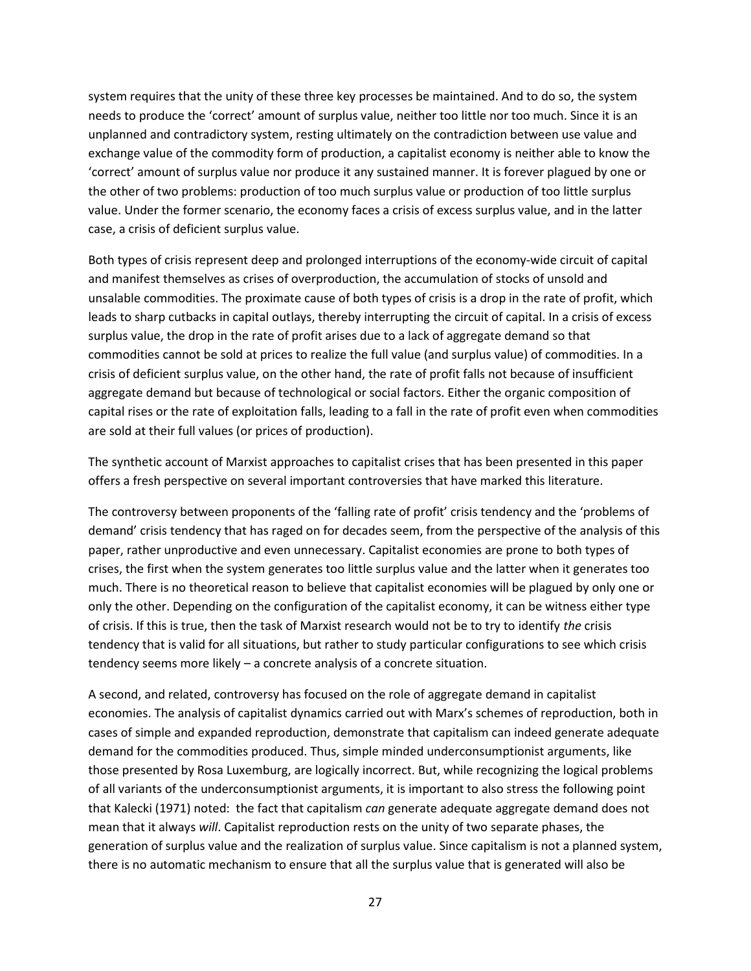system requires that the unity of these three key processes be maintained. And to do so, the system needs to produce the 'correct' amount of surplus value, neither too little nor too much. Since it is an unplanned and contradictory system, resting ultimately on the contradiction between use value and exchange value of the commodity form of production, a capitalist economy is neither able to know the 'correct' amount of surplus value nor produce it any sustained manner. It is forever plagued by one or the other of two problems: production of too much surplus value or production of too little surplus value. Under the former scenario, the economy faces a crisis of excess surplus value, and in the latter case, a crisis of deficient surplus value.

Both types of crisis represent deep and prolonged interruptions of the economy-wide circuit of capital and manifest themselves as crises of overproduction, the accumulation of stocks of unsold and unsalable commodities. The proximate cause of both types of crisis is a drop in the rate of profit, which leads to sharp cutbacks in capital outlays, thereby interrupting the circuit of capital. In a crisis of excess surplus value, the drop in the rate of profit arises due to a lack of aggregate demand so that commodities cannot be sold at prices to realize the full value (and surplus value) of commodities. In a crisis of deficient surplus value, on the other hand, the rate of profit falls not because of insufficient aggregate demand but because of technological or social factors. Either the organic composition of capital rises or the rate of exploitation falls, leading to a fall in the rate of profit even when commodities are sold at their full values (or prices of production).

The synthetic account of Marxist approaches to capitalist crises that has been presented in this paper offers a fresh perspective on several important controversies that have marked this literature.

The controversy between proponents of the 'falling rate of profit' crisis tendency and the 'problems of demand' crisis tendency that has raged on for decades seem, from the perspective of the analysis of this paper, rather unproductive and even unnecessary. Capitalist economies are prone to both types of crises, the first when the system generates too little surplus value and the latter when it generates too much. There is no theoretical reason to believe that capitalist economies will be plagued by only one or only the other. Depending on the configuration of the capitalist economy, it can be witness either type of crisis. If this is true, then the task of Marxist research would not be to try to identify *the* crisis tendency that is valid for all situations, but rather to study particular configurations to see which crisis tendency seems more likely – a concrete analysis of a concrete situation.

A second, and related, controversy has focused on the role of aggregate demand in capitalist economies. The analysis of capitalist dynamics carried out with Marx's schemes of reproduction, both in cases of simple and expanded reproduction, demonstrate that capitalism can indeed generate adequate demand for the commodities produced. Thus, simple minded underconsumptionist arguments, like those presented by Rosa Luxemburg, are logically incorrect. But, while recognizing the logical problems of all variants of the underconsumptionist arguments, it is important to also stress the following point that Kalecki (1971) noted: the fact that capitalism *can* generate adequate aggregate demand does not mean that it always *will*. Capitalist reproduction rests on the unity of two separate phases, the generation of surplus value and the realization of surplus value. Since capitalism is not a planned system, there is no automatic mechanism to ensure that all the surplus value that is generated will also be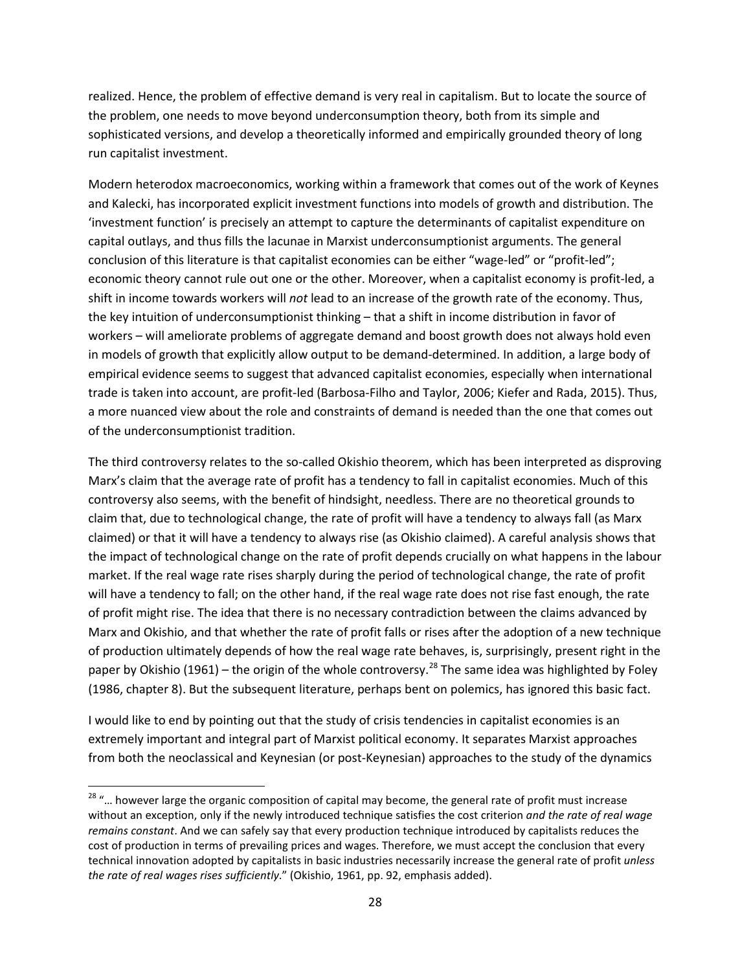realized. Hence, the problem of effective demand is very real in capitalism. But to locate the source of the problem, one needs to move beyond underconsumption theory, both from its simple and sophisticated versions, and develop a theoretically informed and empirically grounded theory of long run capitalist investment.

Modern heterodox macroeconomics, working within a framework that comes out of the work of Keynes and Kalecki, has incorporated explicit investment functions into models of growth and distribution. The 'investment function' is precisely an attempt to capture the determinants of capitalist expenditure on capital outlays, and thus fills the lacunae in Marxist underconsumptionist arguments. The general conclusion of this literature is that capitalist economies can be either "wage-led" or "profit-led"; economic theory cannot rule out one or the other. Moreover, when a capitalist economy is profit-led, a shift in income towards workers will *not* lead to an increase of the growth rate of the economy. Thus, the key intuition of underconsumptionist thinking – that a shift in income distribution in favor of workers – will ameliorate problems of aggregate demand and boost growth does not always hold even in models of growth that explicitly allow output to be demand-determined. In addition, a large body of empirical evidence seems to suggest that advanced capitalist economies, especially when international trade is taken into account, are profit-led (Barbosa-Filho and Taylor, 2006; Kiefer and Rada, 2015). Thus, a more nuanced view about the role and constraints of demand is needed than the one that comes out of the underconsumptionist tradition.

The third controversy relates to the so-called Okishio theorem, which has been interpreted as disproving Marx's claim that the average rate of profit has a tendency to fall in capitalist economies. Much of this controversy also seems, with the benefit of hindsight, needless. There are no theoretical grounds to claim that, due to technological change, the rate of profit will have a tendency to always fall (as Marx claimed) or that it will have a tendency to always rise (as Okishio claimed). A careful analysis shows that the impact of technological change on the rate of profit depends crucially on what happens in the labour market. If the real wage rate rises sharply during the period of technological change, the rate of profit will have a tendency to fall; on the other hand, if the real wage rate does not rise fast enough, the rate of profit might rise. The idea that there is no necessary contradiction between the claims advanced by Marx and Okishio, and that whether the rate of profit falls or rises after the adoption of a new technique of production ultimately depends of how the real wage rate behaves, is, surprisingly, present right in the paper by Okishio (1961) – the origin of the whole controversy.<sup>[28](#page-1-7)</sup> The same idea was highlighted by Foley (1986, chapter 8). But the subsequent literature, perhaps bent on polemics, has ignored this basic fact.

I would like to end by pointing out that the study of crisis tendencies in capitalist economies is an extremely important and integral part of Marxist political economy. It separates Marxist approaches from both the neoclassical and Keynesian (or post-Keynesian) approaches to the study of the dynamics

<sup>&</sup>lt;sup>28</sup> "... however large the organic composition of capital may become, the general rate of profit must increase without an exception, only if the newly introduced technique satisfies the cost criterion *and the rate of real wage remains constant*. And we can safely say that every production technique introduced by capitalists reduces the cost of production in terms of prevailing prices and wages. Therefore, we must accept the conclusion that every technical innovation adopted by capitalists in basic industries necessarily increase the general rate of profit *unless the rate of real wages rises sufficiently*." (Okishio, 1961, pp. 92, emphasis added).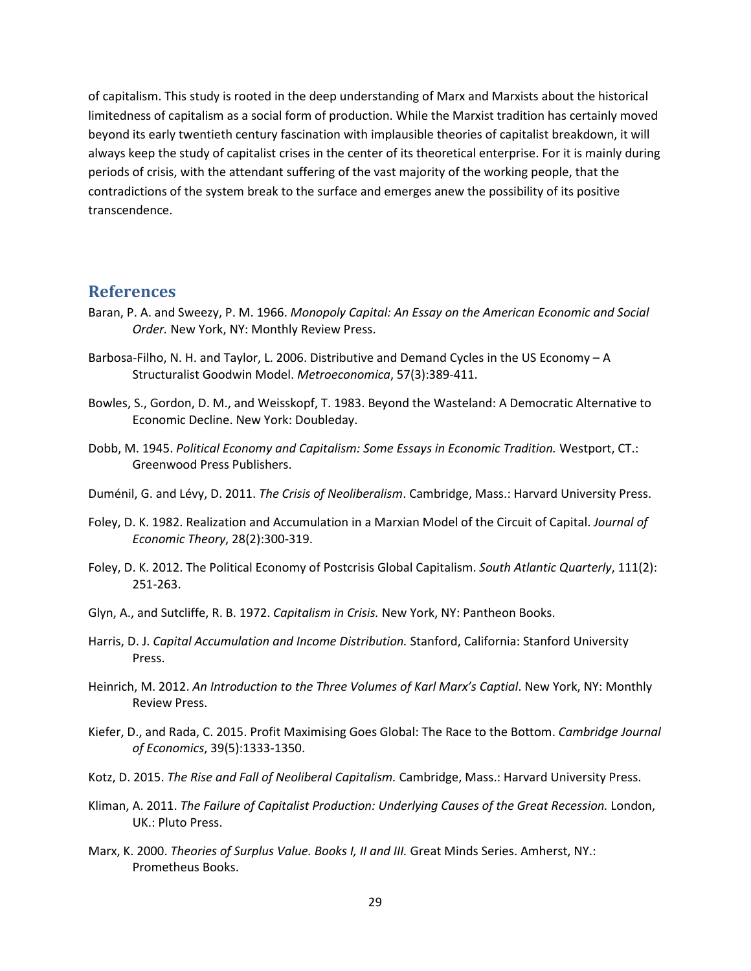of capitalism. This study is rooted in the deep understanding of Marx and Marxists about the historical limitedness of capitalism as a social form of production. While the Marxist tradition has certainly moved beyond its early twentieth century fascination with implausible theories of capitalist breakdown, it will always keep the study of capitalist crises in the center of its theoretical enterprise. For it is mainly during periods of crisis, with the attendant suffering of the vast majority of the working people, that the contradictions of the system break to the surface and emerges anew the possibility of its positive transcendence.

## **References**

- Baran, P. A. and Sweezy, P. M. 1966. *Monopoly Capital: An Essay on the American Economic and Social Order.* New York, NY: Monthly Review Press.
- Barbosa-Filho, N. H. and Taylor, L. 2006. Distributive and Demand Cycles in the US Economy A Structuralist Goodwin Model. *Metroeconomica*, 57(3):389-411.
- Bowles, S., Gordon, D. M., and Weisskopf, T. 1983. Beyond the Wasteland: A Democratic Alternative to Economic Decline. New York: Doubleday.
- Dobb, M. 1945. *Political Economy and Capitalism: Some Essays in Economic Tradition.* Westport, CT.: Greenwood Press Publishers.
- Duménil, G. and Lévy, D. 2011. *The Crisis of Neoliberalism*. Cambridge, Mass.: Harvard University Press.
- Foley, D. K. 1982. Realization and Accumulation in a Marxian Model of the Circuit of Capital. *Journal of Economic Theory*, 28(2):300-319.
- Foley, D. K. 2012. The Political Economy of Postcrisis Global Capitalism. *South Atlantic Quarterly*, 111(2): 251-263.
- Glyn, A., and Sutcliffe, R. B. 1972. *Capitalism in Crisis.* New York, NY: Pantheon Books.
- Harris, D. J. *Capital Accumulation and Income Distribution.* Stanford, California: Stanford University Press.
- Heinrich, M. 2012. *An Introduction to the Three Volumes of Karl Marx's Captial*. New York, NY: Monthly Review Press.
- Kiefer, D., and Rada, C. 2015. Profit Maximising Goes Global: The Race to the Bottom. *Cambridge Journal of Economics*, 39(5):1333-1350.
- Kotz, D. 2015. *The Rise and Fall of Neoliberal Capitalism.* Cambridge, Mass.: Harvard University Press.
- Kliman, A. 2011. *The Failure of Capitalist Production: Underlying Causes of the Great Recession.* London, UK.: Pluto Press.
- Marx, K. 2000. *Theories of Surplus Value. Books I, II and III.* Great Minds Series. Amherst, NY.: Prometheus Books.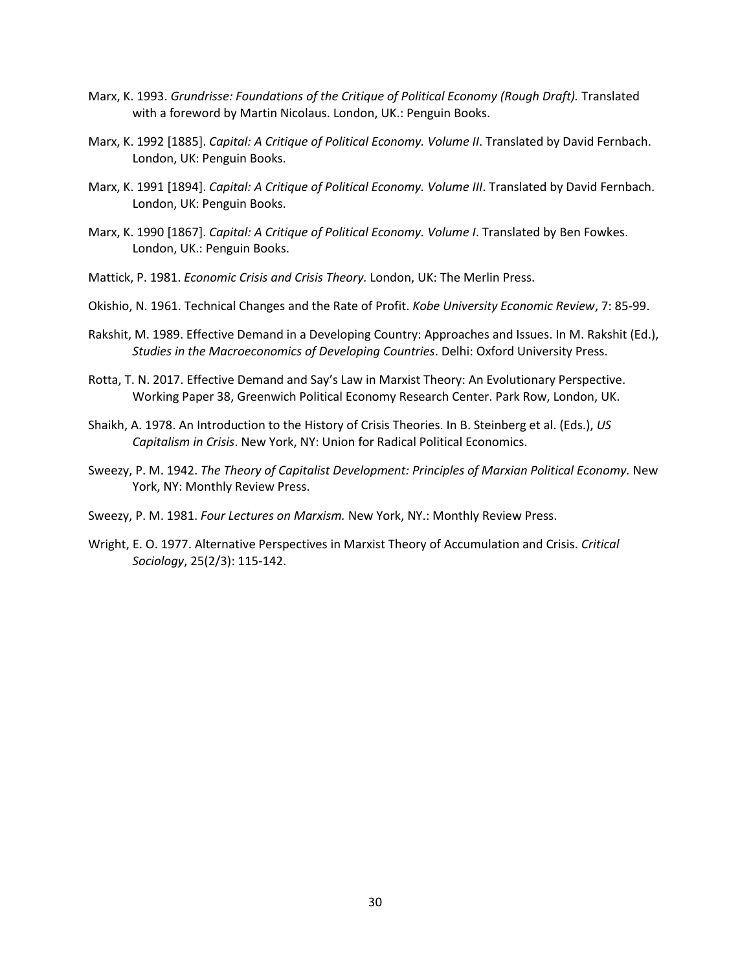- Marx, K. 1993. *Grundrisse: Foundations of the Critique of Political Economy (Rough Draft).* Translated with a foreword by Martin Nicolaus. London, UK.: Penguin Books.
- Marx, K. 1992 [1885]. *Capital: A Critique of Political Economy. Volume II*. Translated by David Fernbach. London, UK: Penguin Books.
- Marx, K. 1991 [1894]. *Capital: A Critique of Political Economy. Volume III*. Translated by David Fernbach. London, UK: Penguin Books.
- Marx, K. 1990 [1867]. *Capital: A Critique of Political Economy. Volume I*. Translated by Ben Fowkes. London, UK.: Penguin Books.
- Mattick, P. 1981. *Economic Crisis and Crisis Theory.* London, UK: The Merlin Press.
- Okishio, N. 1961. Technical Changes and the Rate of Profit. *Kobe University Economic Review*, 7: 85-99.
- Rakshit, M. 1989. Effective Demand in a Developing Country: Approaches and Issues. In M. Rakshit (Ed.), *Studies in the Macroeconomics of Developing Countries*. Delhi: Oxford University Press.
- Rotta, T. N. 2017. Effective Demand and Say's Law in Marxist Theory: An Evolutionary Perspective. Working Paper 38, Greenwich Political Economy Research Center. Park Row, London, UK.
- Shaikh, A. 1978. An Introduction to the History of Crisis Theories. In B. Steinberg et al. (Eds.), *US Capitalism in Crisis*. New York, NY: Union for Radical Political Economics.
- Sweezy, P. M. 1942. *The Theory of Capitalist Development: Principles of Marxian Political Economy.* New York, NY: Monthly Review Press.
- Sweezy, P. M. 1981. *Four Lectures on Marxism.* New York, NY.: Monthly Review Press.
- Wright, E. O. 1977. Alternative Perspectives in Marxist Theory of Accumulation and Crisis. *Critical Sociology*, 25(2/3): 115-142.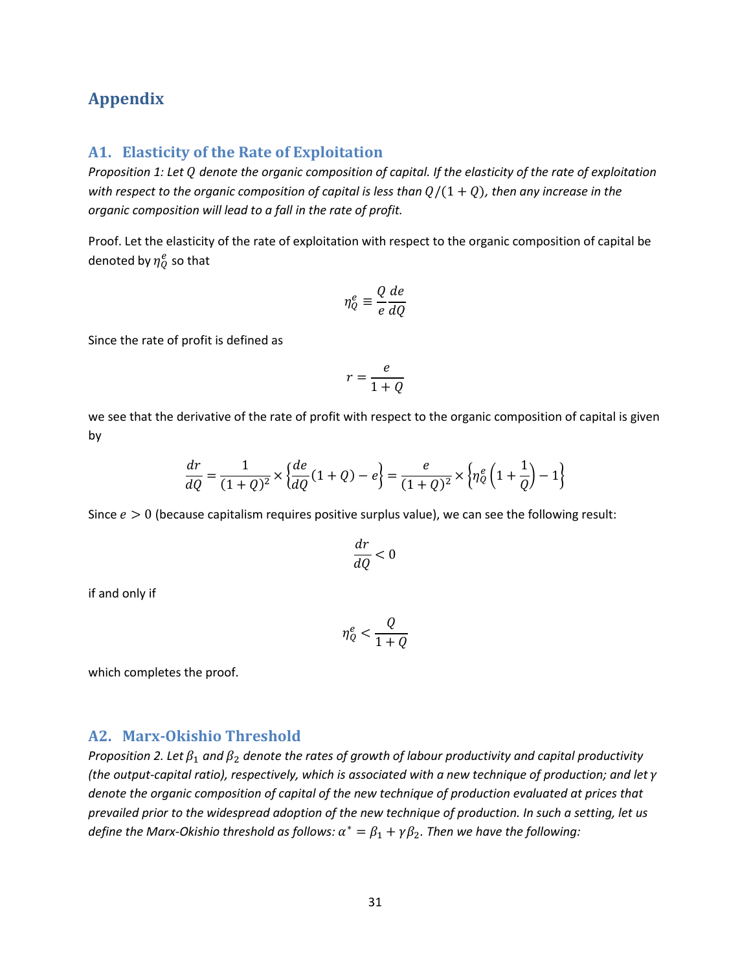# **Appendix**

#### **A1. Elasticity of the Rate of Exploitation**

*Proposition 1: Let denote the organic composition of capital. If the elasticity of the rate of exploitation with respect to the organic composition of capital is less than*  $Q/(1 + Q)$ *, then any increase in the organic composition will lead to a fall in the rate of profit.* 

Proof. Let the elasticity of the rate of exploitation with respect to the organic composition of capital be denoted by  $\eta^e_Q$  so that

$$
\eta_Q^e \equiv \frac{Q}{e} \frac{de}{dQ}
$$

Since the rate of profit is defined as

$$
r = \frac{e}{1+Q}
$$

we see that the derivative of the rate of profit with respect to the organic composition of capital is given by

$$
\frac{dr}{dQ} = \frac{1}{(1+Q)^2} \times \left\{ \frac{de}{dQ} (1+Q) - e \right\} = \frac{e}{(1+Q)^2} \times \left\{ \eta_Q^e \left(1 + \frac{1}{Q}\right) - 1 \right\}
$$

Since  $e > 0$  (because capitalism requires positive surplus value), we can see the following result:

$$
\frac{dr}{dQ} < 0
$$

if and only if

$$
\eta_Q^e<\frac{Q}{1+Q}
$$

which completes the proof.

## **A2. Marx-Okishio Threshold**

*Proposition 2. Let*  $\beta_1$  *and*  $\beta_2$  *denote the rates of growth of labour productivity and capital productivity (the output-capital ratio), respectively, which is associated with a new technique of production; and let denote the organic composition of capital of the new technique of production evaluated at prices that prevailed prior to the widespread adoption of the new technique of production. In such a setting, let us define the Marx-Okishio threshold as follows:*  $\alpha^* = \beta_1 + \gamma \beta_2$ . Then we have the following: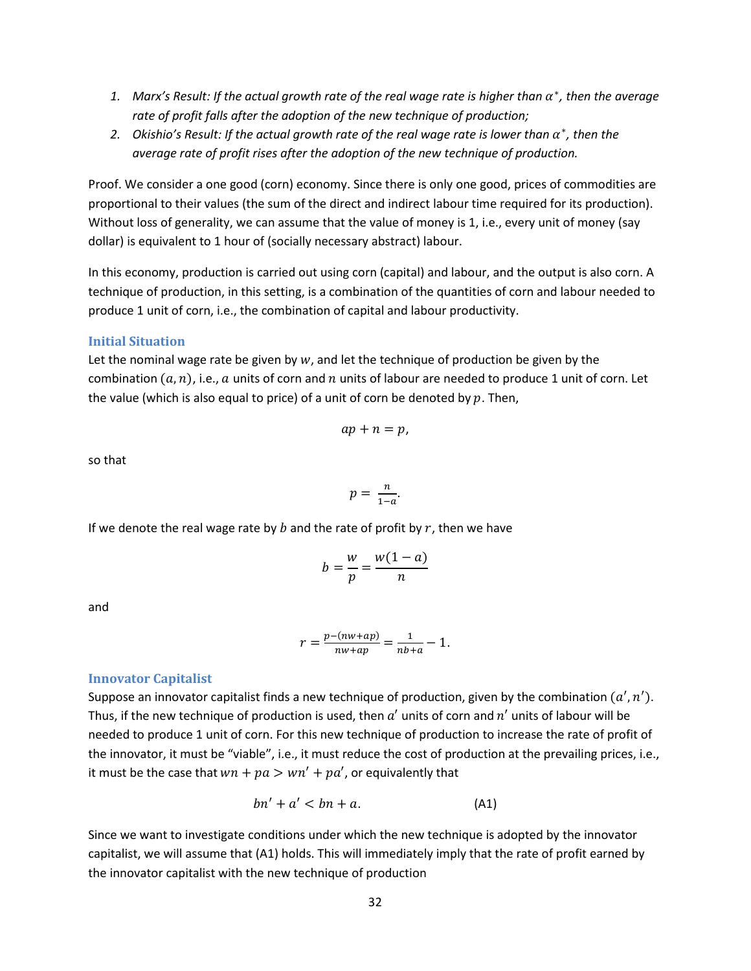- 1. Marx's Result: If the actual growth rate of the real wage rate is higher than  $\alpha^*$ , then the average *rate of profit falls after the adoption of the new technique of production;*
- *2. Okishio's Result: If the actual growth rate of the real wage rate is lower than* ∗*, then the average rate of profit rises after the adoption of the new technique of production.*

Proof. We consider a one good (corn) economy. Since there is only one good, prices of commodities are proportional to their values (the sum of the direct and indirect labour time required for its production). Without loss of generality, we can assume that the value of money is 1, i.e., every unit of money (say dollar) is equivalent to 1 hour of (socially necessary abstract) labour.

In this economy, production is carried out using corn (capital) and labour, and the output is also corn. A technique of production, in this setting, is a combination of the quantities of corn and labour needed to produce 1 unit of corn, i.e., the combination of capital and labour productivity.

## **Initial Situation**

Let the nominal wage rate be given by  $w$ , and let the technique of production be given by the combination  $(a, n)$ , i.e., a units of corn and  $n$  units of labour are needed to produce 1 unit of corn. Let the value (which is also equal to price) of a unit of corn be denoted by  $p$ . Then,

$$
ap+n=p,
$$

so that

$$
p = \frac{n}{1-a}.
$$

If we denote the real wage rate by  $b$  and the rate of profit by  $r$ , then we have

$$
b = \frac{w}{p} = \frac{w(1-a)}{n}
$$

and

$$
r = \frac{p - (nw + ap)}{nw + ap} = \frac{1}{nb + a} - 1.
$$

#### **Innovator Capitalist**

Suppose an innovator capitalist finds a new technique of production, given by the combination  $(a', n')$ . Thus, if the new technique of production is used, then  $a'$  units of corn and  $n'$  units of labour will be needed to produce 1 unit of corn. For this new technique of production to increase the rate of profit of the innovator, it must be "viable", i.e., it must reduce the cost of production at the prevailing prices, i.e., it must be the case that  $wn + pa > wn' + pa'$ , or equivalently that

$$
bn' + a' < bn + a. \tag{A1}
$$

Since we want to investigate conditions under which the new technique is adopted by the innovator capitalist, we will assume that (A1) holds. This will immediately imply that the rate of profit earned by the innovator capitalist with the new technique of production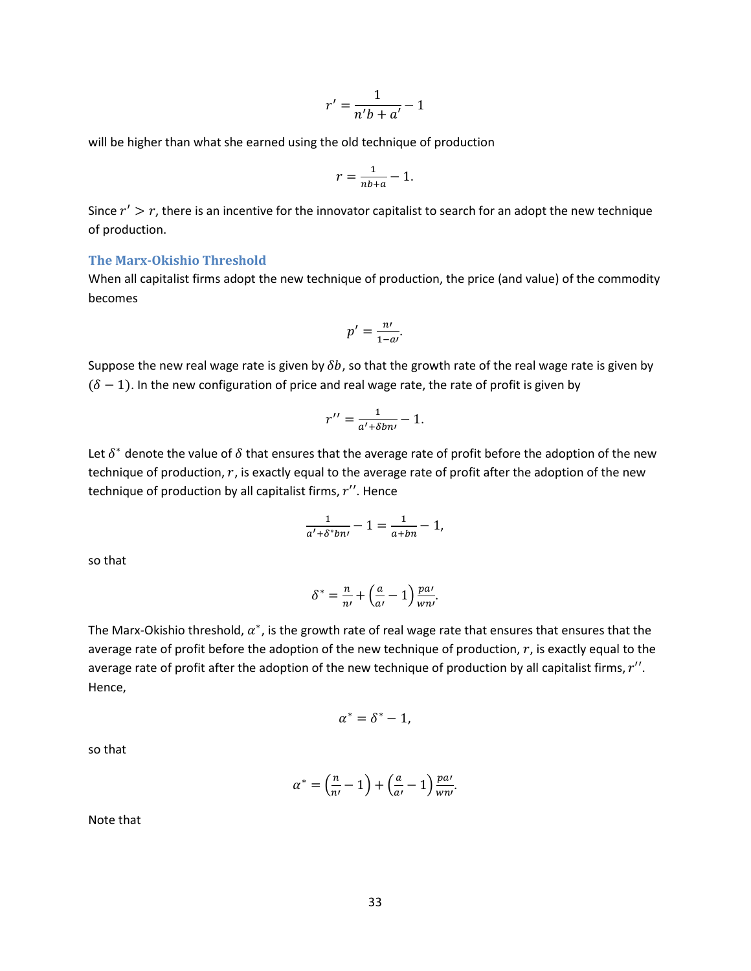$$
r'=\frac{1}{n'b+a'}-1
$$

will be higher than what she earned using the old technique of production

$$
r = \frac{1}{nb+a} - 1.
$$

Since  $r' > r$ , there is an incentive for the innovator capitalist to search for an adopt the new technique of production.

#### **The Marx-Okishio Threshold**

When all capitalist firms adopt the new technique of production, the price (and value) of the commodity becomes

$$
p'=\frac{n'}{1-a'}.
$$

Suppose the new real wage rate is given by  $\delta b$ , so that the growth rate of the real wage rate is given by  $(\delta - 1)$ . In the new configuration of price and real wage rate, the rate of profit is given by

$$
r^{\prime\prime}=\frac{1}{a^{\prime}+\delta b n^{\prime}}-1.
$$

Let  $\delta^*$  denote the value of  $\delta$  that ensures that the average rate of profit before the adoption of the new technique of production,  $r$ , is exactly equal to the average rate of profit after the adoption of the new technique of production by all capitalist firms,  $r''$ . Hence

$$
\frac{1}{a' + \delta^* b n'} - 1 = \frac{1}{a + b n} - 1,
$$

so that

$$
\delta^* = \frac{n}{n'} + \left(\frac{a}{a'} - 1\right) \frac{p a'}{w n'}.
$$

The Marx-Okishio threshold,  $\alpha^*$ , is the growth rate of real wage rate that ensures that ensures that the average rate of profit before the adoption of the new technique of production,  $r$ , is exactly equal to the average rate of profit after the adoption of the new technique of production by all capitalist firms,  $r''$ . Hence,

$$
\alpha^*=\delta^*-1,
$$

so that

$$
\alpha^* = \left(\frac{n}{n'} - 1\right) + \left(\frac{a}{a'} - 1\right) \frac{p a'}{w n'}.
$$

Note that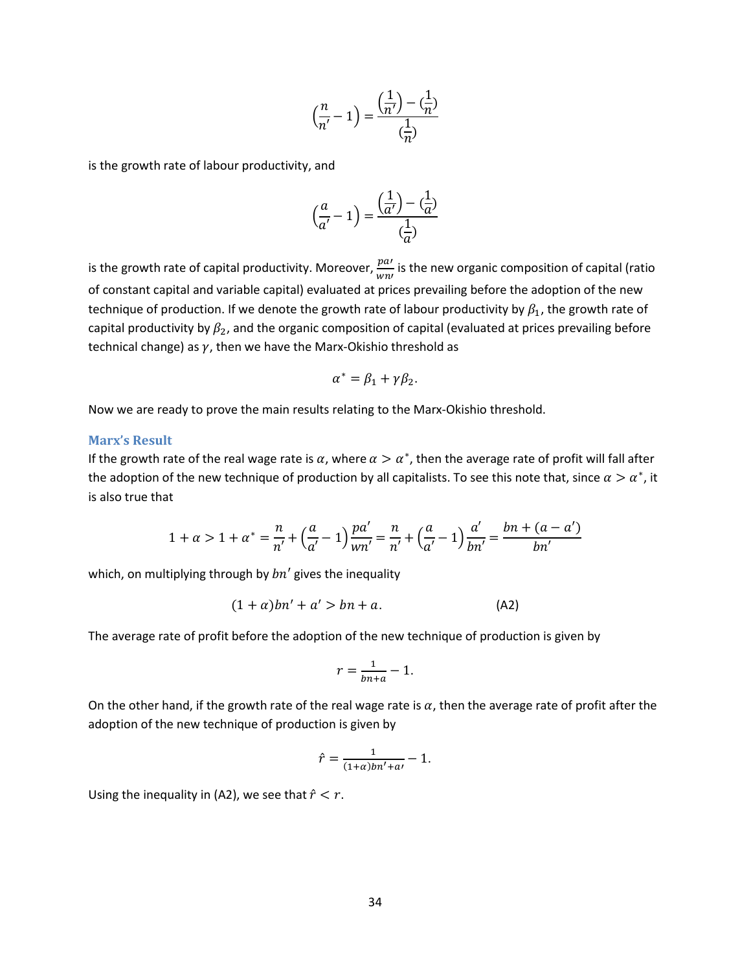$$
\left(\frac{n}{n'}-1\right) = \frac{\left(\frac{1}{n'}\right) - \left(\frac{1}{n}\right)}{\left(\frac{1}{n}\right)}
$$

is the growth rate of labour productivity, and

$$
\left(\frac{a}{a'} - 1\right) = \frac{\left(\frac{1}{a'}\right) - \left(\frac{1}{a}\right)}{\left(\frac{1}{a}\right)}
$$

is the growth rate of capital productivity. Moreover,  $\frac{pa}{wn'}$  is the new organic composition of capital (ratio of constant capital and variable capital) evaluated at prices prevailing before the adoption of the new technique of production. If we denote the growth rate of labour productivity by  $\beta_1$ , the growth rate of capital productivity by  $\beta_2$ , and the organic composition of capital (evaluated at prices prevailing before technical change) as  $\gamma$ , then we have the Marx-Okishio threshold as

$$
\alpha^* = \beta_1 + \gamma \beta_2.
$$

Now we are ready to prove the main results relating to the Marx-Okishio threshold.

#### **Marx's Result**

If the growth rate of the real wage rate is  $\alpha$ , where  $\alpha > \alpha^*$ , then the average rate of profit will fall after the adoption of the new technique of production by all capitalists. To see this note that, since  $\alpha > \alpha^*$ , it is also true that

$$
1 + \alpha > 1 + \alpha^* = \frac{n}{n'} + \left(\frac{a}{a'} - 1\right) \frac{p a'}{w n'} = \frac{n}{n'} + \left(\frac{a}{a'} - 1\right) \frac{a'}{b n'} = \frac{bn + (a - a')}{bn'}
$$

which, on multiplying through by  $bn'$  gives the inequality

$$
(1+\alpha)bn' + a' > bn + a.
$$
 (A2)

The average rate of profit before the adoption of the new technique of production is given by

$$
r = \frac{1}{bn+a} - 1.
$$

On the other hand, if the growth rate of the real wage rate is  $\alpha$ , then the average rate of profit after the adoption of the new technique of production is given by

$$
\hat{r} = \frac{1}{(1+\alpha)bn'+a'} - 1.
$$

Using the inequality in (A2), we see that  $\hat{r} < r$ .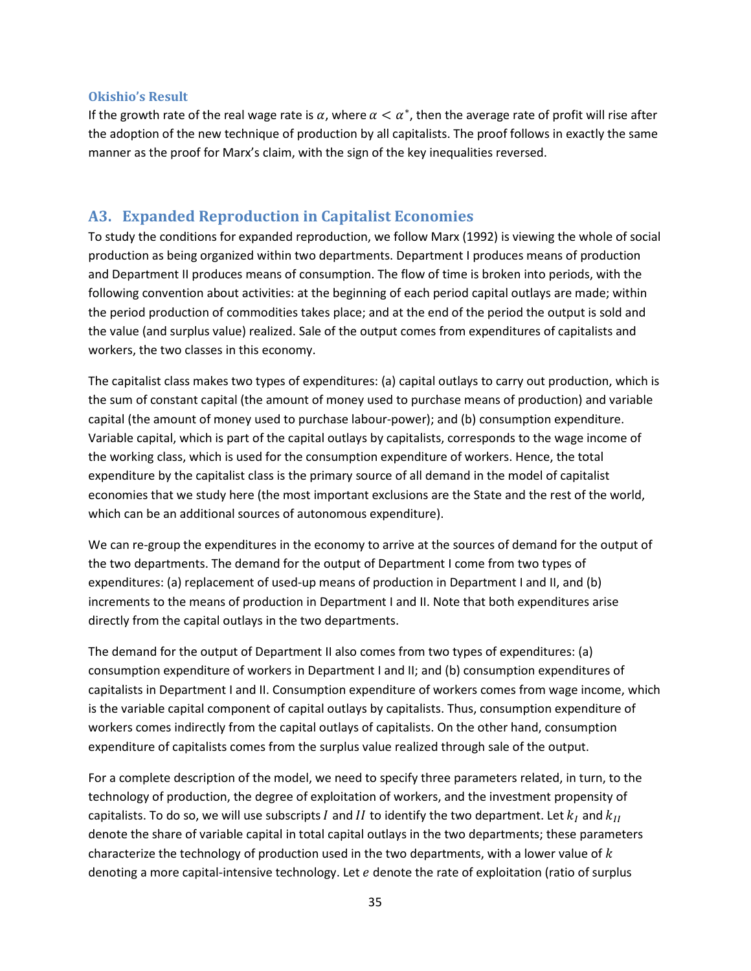#### **Okishio's Result**

If the growth rate of the real wage rate is  $\alpha$ , where  $\alpha < \alpha^*$ , then the average rate of profit will rise after the adoption of the new technique of production by all capitalists. The proof follows in exactly the same manner as the proof for Marx's claim, with the sign of the key inequalities reversed.

## **A3. Expanded Reproduction in Capitalist Economies**

To study the conditions for expanded reproduction, we follow Marx (1992) is viewing the whole of social production as being organized within two departments. Department I produces means of production and Department II produces means of consumption. The flow of time is broken into periods, with the following convention about activities: at the beginning of each period capital outlays are made; within the period production of commodities takes place; and at the end of the period the output is sold and the value (and surplus value) realized. Sale of the output comes from expenditures of capitalists and workers, the two classes in this economy.

The capitalist class makes two types of expenditures: (a) capital outlays to carry out production, which is the sum of constant capital (the amount of money used to purchase means of production) and variable capital (the amount of money used to purchase labour-power); and (b) consumption expenditure. Variable capital, which is part of the capital outlays by capitalists, corresponds to the wage income of the working class, which is used for the consumption expenditure of workers. Hence, the total expenditure by the capitalist class is the primary source of all demand in the model of capitalist economies that we study here (the most important exclusions are the State and the rest of the world, which can be an additional sources of autonomous expenditure).

We can re-group the expenditures in the economy to arrive at the sources of demand for the output of the two departments. The demand for the output of Department I come from two types of expenditures: (a) replacement of used-up means of production in Department I and II, and (b) increments to the means of production in Department I and II. Note that both expenditures arise directly from the capital outlays in the two departments.

The demand for the output of Department II also comes from two types of expenditures: (a) consumption expenditure of workers in Department I and II; and (b) consumption expenditures of capitalists in Department I and II. Consumption expenditure of workers comes from wage income, which is the variable capital component of capital outlays by capitalists. Thus, consumption expenditure of workers comes indirectly from the capital outlays of capitalists. On the other hand, consumption expenditure of capitalists comes from the surplus value realized through sale of the output.

For a complete description of the model, we need to specify three parameters related, in turn, to the technology of production, the degree of exploitation of workers, and the investment propensity of capitalists. To do so, we will use subscripts I and II to identify the two department. Let  $k_I$  and  $k_{II}$ denote the share of variable capital in total capital outlays in the two departments; these parameters characterize the technology of production used in the two departments, with a lower value of  $k$ denoting a more capital-intensive technology. Let e denote the rate of exploitation (ratio of surplus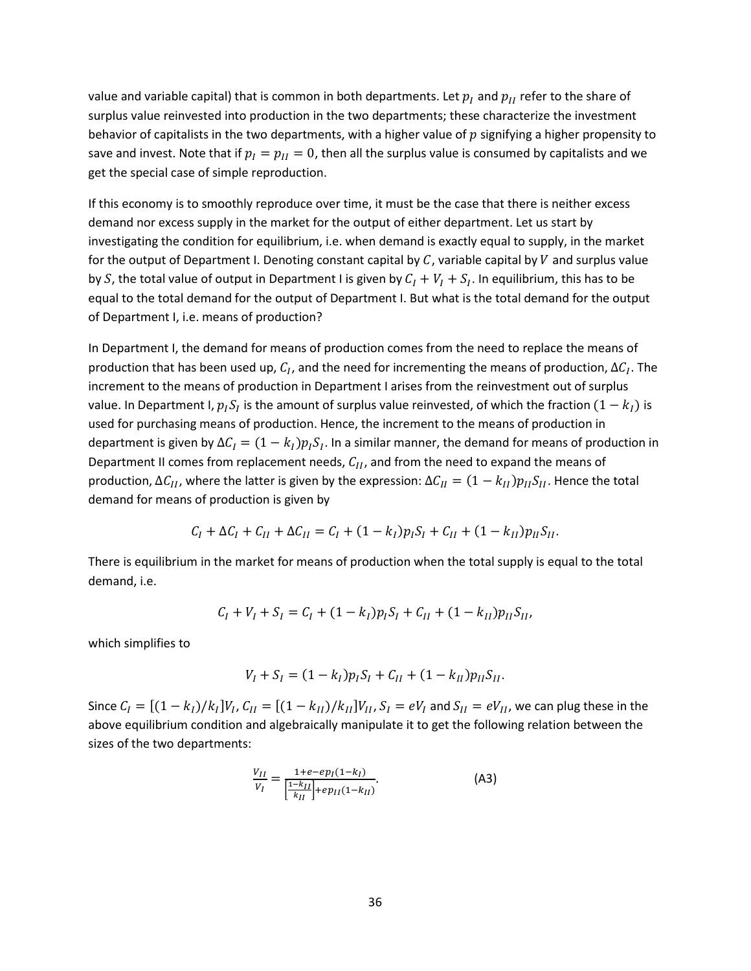value and variable capital) that is common in both departments. Let  $p_I$  and  $p_{II}$  refer to the share of surplus value reinvested into production in the two departments; these characterize the investment behavior of capitalists in the two departments, with a higher value of  $p$  signifying a higher propensity to save and invest. Note that if  $p_I = p_{II} = 0$ , then all the surplus value is consumed by capitalists and we get the special case of simple reproduction.

If this economy is to smoothly reproduce over time, it must be the case that there is neither excess demand nor excess supply in the market for the output of either department. Let us start by investigating the condition for equilibrium, i.e. when demand is exactly equal to supply, in the market for the output of Department I. Denoting constant capital by  $C$ , variable capital by  $V$  and surplus value by S, the total value of output in Department I is given by  $C_I + V_I + S_I$ . In equilibrium, this has to be equal to the total demand for the output of Department I. But what is the total demand for the output of Department I, i.e. means of production?

In Department I, the demand for means of production comes from the need to replace the means of production that has been used up,  $C_I$ , and the need for incrementing the means of production,  $\Delta C_I$ . The increment to the means of production in Department I arises from the reinvestment out of surplus value. In Department I,  $p_1 S_1$  is the amount of surplus value reinvested, of which the fraction  $(1 - k_1)$  is used for purchasing means of production. Hence, the increment to the means of production in department is given by  $\Delta C_I = (1 - k_I) p_I S_I$ . In a similar manner, the demand for means of production in Department II comes from replacement needs,  $C_{II}$ , and from the need to expand the means of production,  $\Delta C_{II}$ , where the latter is given by the expression:  $\Delta C_{II} = (1 - k_{II}) p_{II} S_{II}$ . Hence the total demand for means of production is given by

$$
C_I + \Delta C_I + C_{II} + \Delta C_{II} = C_I + (1 - k_I)p_I S_I + C_{II} + (1 - k_{II})p_{II} S_{II}.
$$

There is equilibrium in the market for means of production when the total supply is equal to the total demand, i.e.

$$
C_I + V_I + S_I = C_I + (1 - k_I)p_I S_I + C_{II} + (1 - k_{II})p_{II} S_{II},
$$

which simplifies to

$$
V_I + S_I = (1 - k_I)p_I S_I + C_{II} + (1 - k_{II})p_{II} S_{II}.
$$

Since  $C_I = [(1 - k_I)/k_I]V_I$ ,  $C_{II} = [(1 - k_{II})/k_{II}]V_{II}$ ,  $S_I = eV_I$  and  $S_{II} = eV_{II}$ , we can plug these in the above equilibrium condition and algebraically manipulate it to get the following relation between the sizes of the two departments:

$$
\frac{V_{II}}{V_I} = \frac{1 + e - ep_I(1 - k_I)}{\left[\frac{1 - k_{II}}{k_{II}}\right] + ep_{II}(1 - k_{II})}.
$$
 (A3)